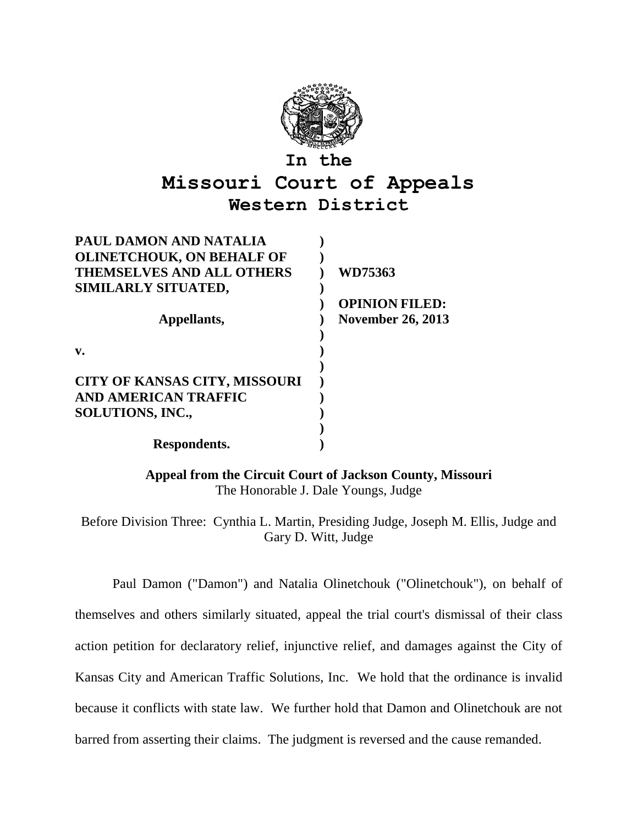

## **Missouri Court of Appeals Western District**

| PAUL DAMON AND NATALIA               |                          |
|--------------------------------------|--------------------------|
| <b>OLINETCHOUK, ON BEHALF OF</b>     |                          |
| <b>THEMSELVES AND ALL OTHERS</b>     | WD75363                  |
| SIMILARLY SITUATED,                  |                          |
|                                      | <b>OPINION FILED:</b>    |
| Appellants,                          | <b>November 26, 2013</b> |
|                                      |                          |
| v.                                   |                          |
|                                      |                          |
| <b>CITY OF KANSAS CITY, MISSOURI</b> |                          |
| <b>AND AMERICAN TRAFFIC</b>          |                          |
| <b>SOLUTIONS, INC.,</b>              |                          |
|                                      |                          |
| Respondents.                         |                          |

**Appeal from the Circuit Court of Jackson County, Missouri** The Honorable J. Dale Youngs, Judge

Before Division Three: Cynthia L. Martin, Presiding Judge, Joseph M. Ellis, Judge and Gary D. Witt, Judge

Paul Damon ("Damon") and Natalia Olinetchouk ("Olinetchouk"), on behalf of themselves and others similarly situated, appeal the trial court's dismissal of their class action petition for declaratory relief, injunctive relief, and damages against the City of Kansas City and American Traffic Solutions, Inc. We hold that the ordinance is invalid because it conflicts with state law. We further hold that Damon and Olinetchouk are not barred from asserting their claims. The judgment is reversed and the cause remanded.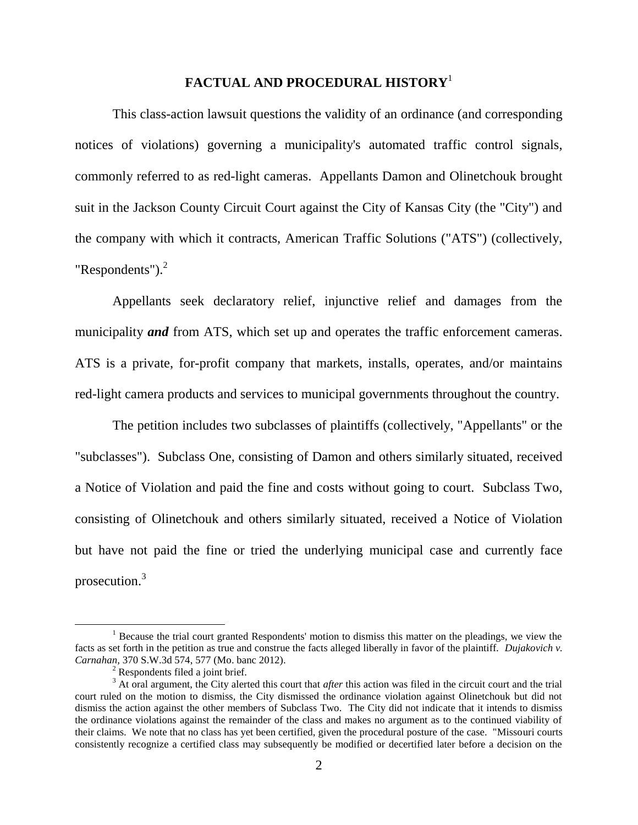### **FACTUAL AND PROCEDURAL HISTORY**<sup>1</sup>

This class-action lawsuit questions the validity of an ordinance (and corresponding notices of violations) governing a municipality's automated traffic control signals, commonly referred to as red-light cameras. Appellants Damon and Olinetchouk brought suit in the Jackson County Circuit Court against the City of Kansas City (the "City") and the company with which it contracts, American Traffic Solutions ("ATS") (collectively, "Respondents"). $2$ 

Appellants seek declaratory relief, injunctive relief and damages from the municipality *and* from ATS, which set up and operates the traffic enforcement cameras. ATS is a private, for-profit company that markets, installs, operates, and/or maintains red-light camera products and services to municipal governments throughout the country.

The petition includes two subclasses of plaintiffs (collectively, "Appellants" or the "subclasses"). Subclass One, consisting of Damon and others similarly situated, received a Notice of Violation and paid the fine and costs without going to court. Subclass Two, consisting of Olinetchouk and others similarly situated, received a Notice of Violation but have not paid the fine or tried the underlying municipal case and currently face prosecution.<sup>3</sup>

 $<sup>1</sup>$  Because the trial court granted Respondents' motion to dismiss this matter on the pleadings, we view the</sup> facts as set forth in the petition as true and construe the facts alleged liberally in favor of the plaintiff. *Dujakovich v. Carnahan,* 370 S.W.3d 574, 577 (Mo. banc 2012).

<sup>&</sup>lt;sup>2</sup> Respondents filed a joint brief.

<sup>3</sup> At oral argument, the City alerted this court that *after* this action was filed in the circuit court and the trial court ruled on the motion to dismiss, the City dismissed the ordinance violation against Olinetchouk but did not dismiss the action against the other members of Subclass Two. The City did not indicate that it intends to dismiss the ordinance violations against the remainder of the class and makes no argument as to the continued viability of their claims. We note that no class has yet been certified, given the procedural posture of the case. "Missouri courts consistently recognize a certified class may subsequently be modified or decertified later before a decision on the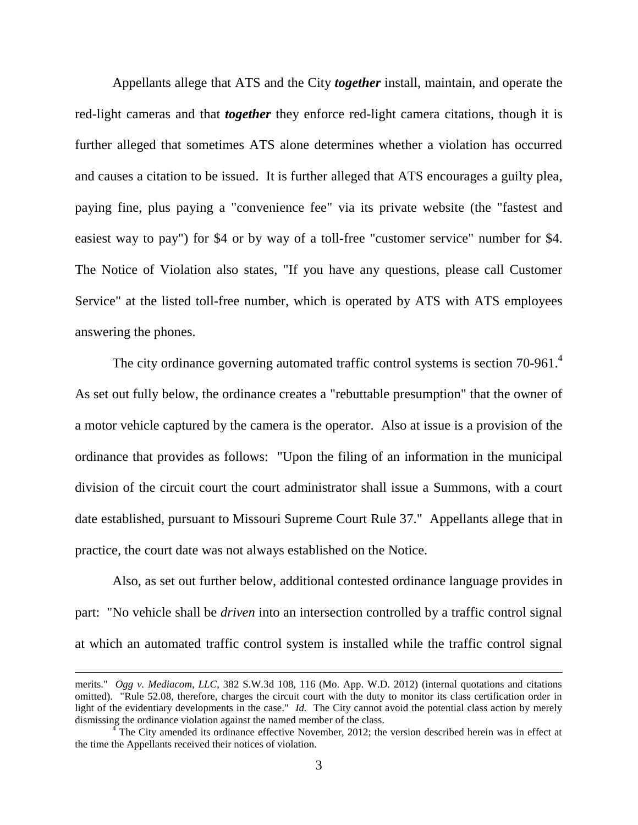Appellants allege that ATS and the City *together* install, maintain, and operate the red-light cameras and that *together* they enforce red-light camera citations, though it is further alleged that sometimes ATS alone determines whether a violation has occurred and causes a citation to be issued. It is further alleged that ATS encourages a guilty plea, paying fine, plus paying a "convenience fee" via its private website (the "fastest and easiest way to pay") for \$4 or by way of a toll-free "customer service" number for \$4. The Notice of Violation also states, "If you have any questions, please call Customer Service" at the listed toll-free number, which is operated by ATS with ATS employees answering the phones.

The city ordinance governing automated traffic control systems is section 70-961. $4$ As set out fully below, the ordinance creates a "rebuttable presumption" that the owner of a motor vehicle captured by the camera is the operator. Also at issue is a provision of the ordinance that provides as follows: "Upon the filing of an information in the municipal division of the circuit court the court administrator shall issue a Summons, with a court date established, pursuant to Missouri Supreme Court Rule 37." Appellants allege that in practice, the court date was not always established on the Notice.

Also, as set out further below, additional contested ordinance language provides in part: "No vehicle shall be *driven* into an intersection controlled by a traffic control signal at which an automated traffic control system is installed while the traffic control signal

merits." *Ogg v. Mediacom, LLC*, 382 S.W.3d 108, 116 (Mo. App. W.D. 2012) (internal quotations and citations omitted). "Rule 52.08, therefore, charges the circuit court with the duty to monitor its class certification order in light of the evidentiary developments in the case." *Id.* The City cannot avoid the potential class action by merely dismissing the ordinance violation against the named member of the class.

 $4\degree$ The City amended its ordinance effective November, 2012; the version described herein was in effect at the time the Appellants received their notices of violation.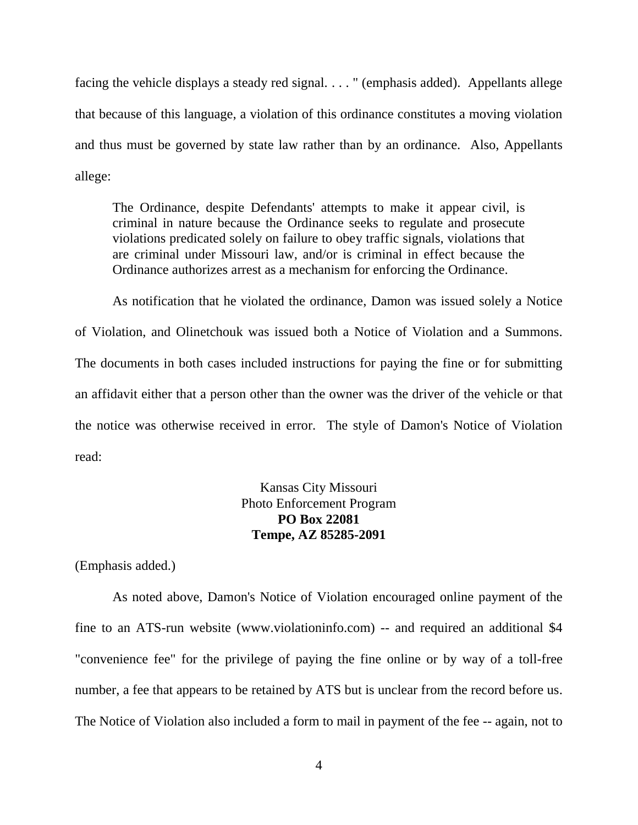facing the vehicle displays a steady red signal. . . . " (emphasis added). Appellants allege that because of this language, a violation of this ordinance constitutes a moving violation and thus must be governed by state law rather than by an ordinance. Also, Appellants allege:

The Ordinance, despite Defendants' attempts to make it appear civil, is criminal in nature because the Ordinance seeks to regulate and prosecute violations predicated solely on failure to obey traffic signals, violations that are criminal under Missouri law, and/or is criminal in effect because the Ordinance authorizes arrest as a mechanism for enforcing the Ordinance.

As notification that he violated the ordinance, Damon was issued solely a Notice of Violation, and Olinetchouk was issued both a Notice of Violation and a Summons. The documents in both cases included instructions for paying the fine or for submitting an affidavit either that a person other than the owner was the driver of the vehicle or that the notice was otherwise received in error. The style of Damon's Notice of Violation read:

## Kansas City Missouri Photo Enforcement Program **PO Box 22081 Tempe, AZ 85285-2091**

(Emphasis added.)

As noted above, Damon's Notice of Violation encouraged online payment of the fine to an ATS-run website [\(www.violationinfo.com\)](http://www.violationinfo.com/) -- and required an additional \$4 "convenience fee" for the privilege of paying the fine online or by way of a toll-free number, a fee that appears to be retained by ATS but is unclear from the record before us. The Notice of Violation also included a form to mail in payment of the fee -- again, not to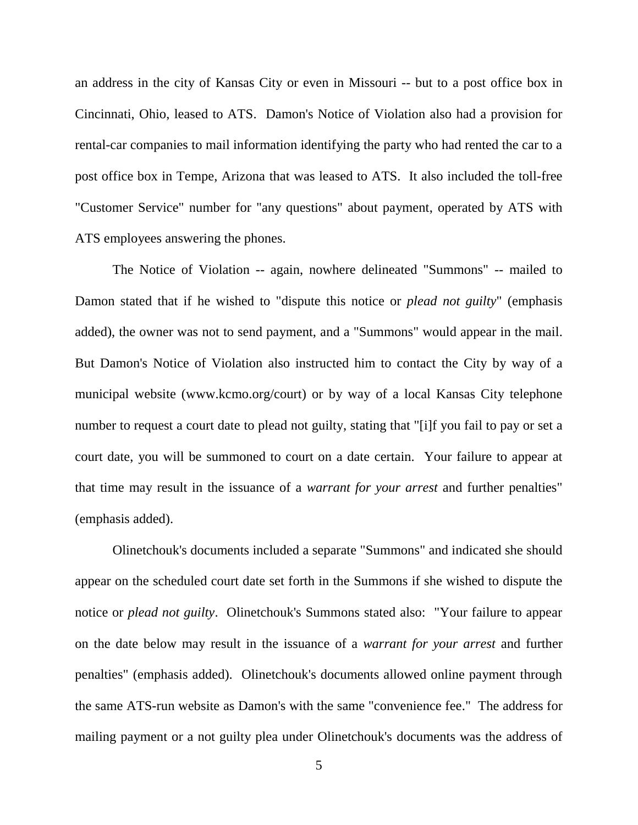an address in the city of Kansas City or even in Missouri -- but to a post office box in Cincinnati, Ohio, leased to ATS. Damon's Notice of Violation also had a provision for rental-car companies to mail information identifying the party who had rented the car to a post office box in Tempe, Arizona that was leased to ATS. It also included the toll-free "Customer Service" number for "any questions" about payment, operated by ATS with ATS employees answering the phones.

The Notice of Violation -- again, nowhere delineated "Summons" -- mailed to Damon stated that if he wished to "dispute this notice or *plead not guilty*" (emphasis added), the owner was not to send payment, and a "Summons" would appear in the mail. But Damon's Notice of Violation also instructed him to contact the City by way of a municipal website [\(www.kcmo.org/court\)](http://www.kcmo.org/court) or by way of a local Kansas City telephone number to request a court date to plead not guilty, stating that "[i]f you fail to pay or set a court date, you will be summoned to court on a date certain. Your failure to appear at that time may result in the issuance of a *warrant for your arrest* and further penalties" (emphasis added).

Olinetchouk's documents included a separate "Summons" and indicated she should appear on the scheduled court date set forth in the Summons if she wished to dispute the notice or *plead not guilty*. Olinetchouk's Summons stated also: "Your failure to appear on the date below may result in the issuance of a *warrant for your arrest* and further penalties" (emphasis added). Olinetchouk's documents allowed online payment through the same ATS-run website as Damon's with the same "convenience fee." The address for mailing payment or a not guilty plea under Olinetchouk's documents was the address of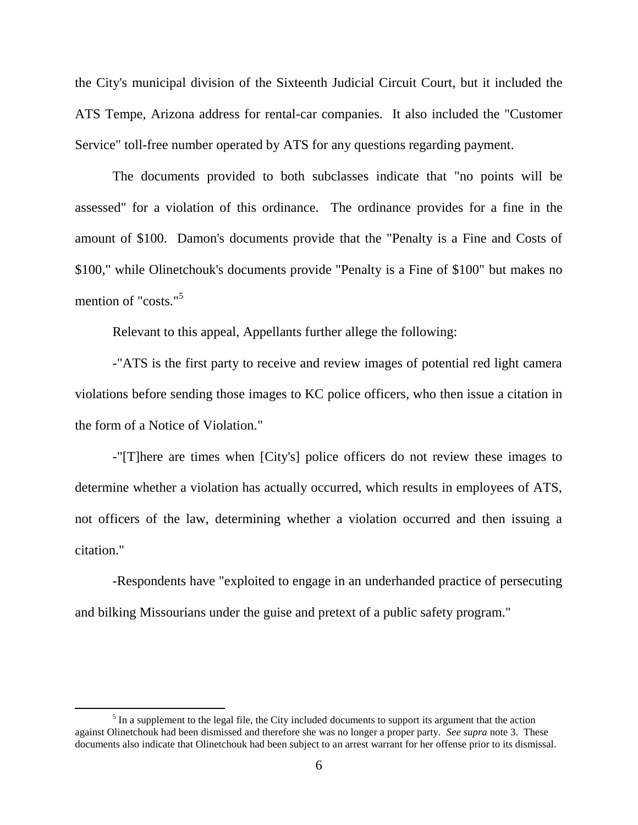the City's municipal division of the Sixteenth Judicial Circuit Court, but it included the ATS Tempe, Arizona address for rental-car companies. It also included the "Customer Service" toll-free number operated by ATS for any questions regarding payment.

The documents provided to both subclasses indicate that "no points will be assessed" for a violation of this ordinance. The ordinance provides for a fine in the amount of \$100. Damon's documents provide that the "Penalty is a Fine and Costs of \$100," while Olinetchouk's documents provide "Penalty is a Fine of \$100" but makes no mention of "costs."<sup>5</sup>

Relevant to this appeal, Appellants further allege the following:

-"ATS is the first party to receive and review images of potential red light camera violations before sending those images to KC police officers, who then issue a citation in the form of a Notice of Violation."

-"[T]here are times when [City's] police officers do not review these images to determine whether a violation has actually occurred, which results in employees of ATS, not officers of the law, determining whether a violation occurred and then issuing a citation."

-Respondents have "exploited to engage in an underhanded practice of persecuting and bilking Missourians under the guise and pretext of a public safety program."

 $<sup>5</sup>$  In a supplement to the legal file, the City included documents to support its argument that the action</sup> against Olinetchouk had been dismissed and therefore she was no longer a proper party. *See supra* note 3. These documents also indicate that Olinetchouk had been subject to an arrest warrant for her offense prior to its dismissal.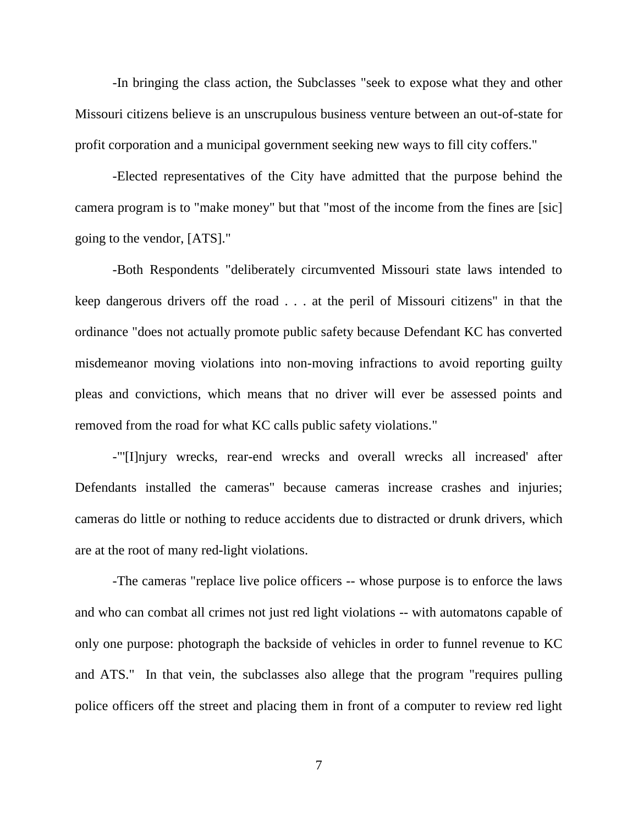-In bringing the class action, the Subclasses "seek to expose what they and other Missouri citizens believe is an unscrupulous business venture between an out-of-state for profit corporation and a municipal government seeking new ways to fill city coffers."

-Elected representatives of the City have admitted that the purpose behind the camera program is to "make money" but that "most of the income from the fines are [sic] going to the vendor, [ATS]."

-Both Respondents "deliberately circumvented Missouri state laws intended to keep dangerous drivers off the road . . . at the peril of Missouri citizens" in that the ordinance "does not actually promote public safety because Defendant KC has converted misdemeanor moving violations into non-moving infractions to avoid reporting guilty pleas and convictions, which means that no driver will ever be assessed points and removed from the road for what KC calls public safety violations."

-"'[I]njury wrecks, rear-end wrecks and overall wrecks all increased' after Defendants installed the cameras" because cameras increase crashes and injuries; cameras do little or nothing to reduce accidents due to distracted or drunk drivers, which are at the root of many red-light violations.

-The cameras "replace live police officers -- whose purpose is to enforce the laws and who can combat all crimes not just red light violations -- with automatons capable of only one purpose: photograph the backside of vehicles in order to funnel revenue to KC and ATS." In that vein, the subclasses also allege that the program "requires pulling police officers off the street and placing them in front of a computer to review red light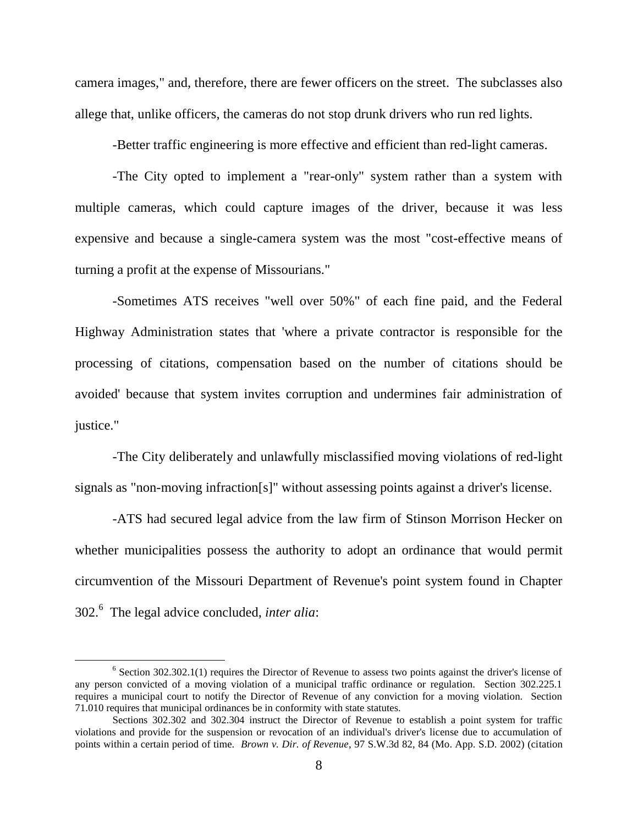camera images," and, therefore, there are fewer officers on the street. The subclasses also allege that, unlike officers, the cameras do not stop drunk drivers who run red lights.

-Better traffic engineering is more effective and efficient than red-light cameras.

-The City opted to implement a "rear-only" system rather than a system with multiple cameras, which could capture images of the driver, because it was less expensive and because a single-camera system was the most "cost-effective means of turning a profit at the expense of Missourians."

-Sometimes ATS receives "well over 50%" of each fine paid, and the Federal Highway Administration states that 'where a private contractor is responsible for the processing of citations, compensation based on the number of citations should be avoided' because that system invites corruption and undermines fair administration of justice."

-The City deliberately and unlawfully misclassified moving violations of red-light signals as "non-moving infraction[s]" without assessing points against a driver's license.

-ATS had secured legal advice from the law firm of Stinson Morrison Hecker on whether municipalities possess the authority to adopt an ordinance that would permit circumvention of the Missouri Department of Revenue's point system found in Chapter 302.<sup>6</sup> The legal advice concluded, *inter alia*:

 $6$  Section 302.302.1(1) requires the Director of Revenue to assess two points against the driver's license of any person convicted of a moving violation of a municipal traffic ordinance or regulation. Section 302.225.1 requires a municipal court to notify the Director of Revenue of any conviction for a moving violation. Section 71.010 requires that municipal ordinances be in conformity with state statutes.

Sections 302.302 and 302.304 instruct the Director of Revenue to establish a point system for traffic violations and provide for the suspension or revocation of an individual's driver's license due to accumulation of points within a certain period of time. *Brown v. Dir. of Revenue*, 97 S.W.3d 82, 84 (Mo. App. S.D. 2002) (citation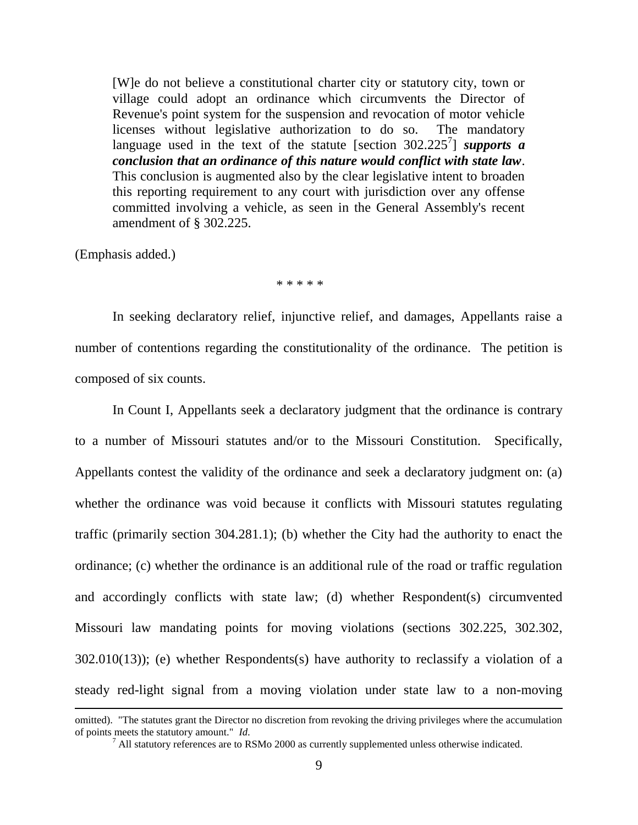[W]e do not believe a constitutional charter city or statutory city, town or village could adopt an ordinance which circumvents the Director of Revenue's point system for the suspension and revocation of motor vehicle licenses without legislative authorization to do so. The mandatory language used in the text of the statute [section  $302.225^7$ ] *supports a conclusion that an ordinance of this nature would conflict with state law*. This conclusion is augmented also by the clear legislative intent to broaden this reporting requirement to any court with jurisdiction over any offense committed involving a vehicle, as seen in the General Assembly's recent amendment of § 302.225.

(Emphasis added.)

 $\overline{a}$ 

\* \* \* \* \*

In seeking declaratory relief, injunctive relief, and damages, Appellants raise a number of contentions regarding the constitutionality of the ordinance. The petition is composed of six counts.

In Count I, Appellants seek a declaratory judgment that the ordinance is contrary to a number of Missouri statutes and/or to the Missouri Constitution. Specifically, Appellants contest the validity of the ordinance and seek a declaratory judgment on: (a) whether the ordinance was void because it conflicts with Missouri statutes regulating traffic (primarily section 304.281.1); (b) whether the City had the authority to enact the ordinance; (c) whether the ordinance is an additional rule of the road or traffic regulation and accordingly conflicts with state law; (d) whether Respondent(s) circumvented Missouri law mandating points for moving violations (sections 302.225, 302.302, 302.010(13)); (e) whether Respondents(s) have authority to reclassify a violation of a steady red-light signal from a moving violation under state law to a non-moving

omitted). "The statutes grant the Director no discretion from revoking the driving privileges where the accumulation of points meets the statutory amount." *Id.*

 $<sup>7</sup>$  All statutory references are to RSMo 2000 as currently supplemented unless otherwise indicated.</sup>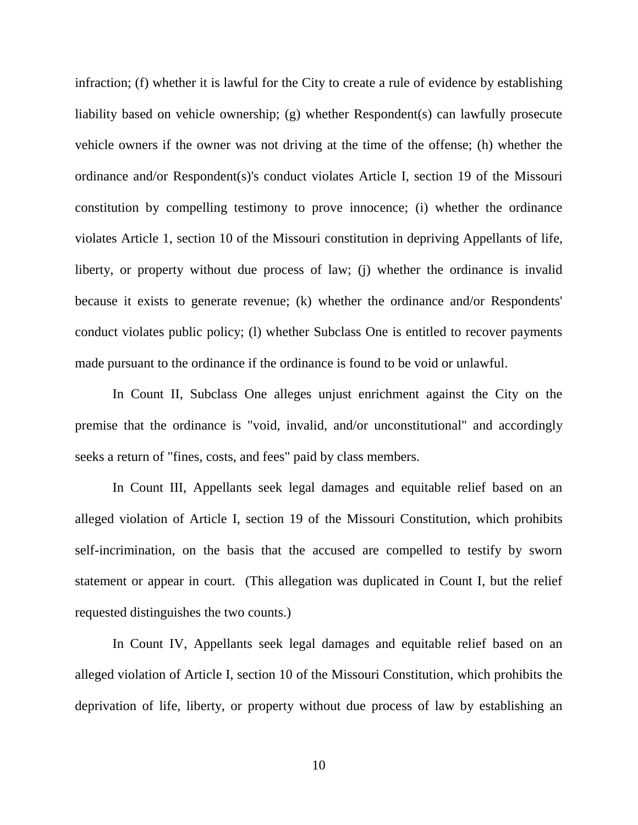infraction; (f) whether it is lawful for the City to create a rule of evidence by establishing liability based on vehicle ownership; (g) whether Respondent(s) can lawfully prosecute vehicle owners if the owner was not driving at the time of the offense; (h) whether the ordinance and/or Respondent(s)'s conduct violates Article I, section 19 of the Missouri constitution by compelling testimony to prove innocence; (i) whether the ordinance violates Article 1, section 10 of the Missouri constitution in depriving Appellants of life, liberty, or property without due process of law; (j) whether the ordinance is invalid because it exists to generate revenue; (k) whether the ordinance and/or Respondents' conduct violates public policy; (l) whether Subclass One is entitled to recover payments made pursuant to the ordinance if the ordinance is found to be void or unlawful.

In Count II, Subclass One alleges unjust enrichment against the City on the premise that the ordinance is "void, invalid, and/or unconstitutional" and accordingly seeks a return of "fines, costs, and fees" paid by class members.

In Count III, Appellants seek legal damages and equitable relief based on an alleged violation of Article I, section 19 of the Missouri Constitution, which prohibits self-incrimination, on the basis that the accused are compelled to testify by sworn statement or appear in court. (This allegation was duplicated in Count I, but the relief requested distinguishes the two counts.)

In Count IV, Appellants seek legal damages and equitable relief based on an alleged violation of Article I, section 10 of the Missouri Constitution, which prohibits the deprivation of life, liberty, or property without due process of law by establishing an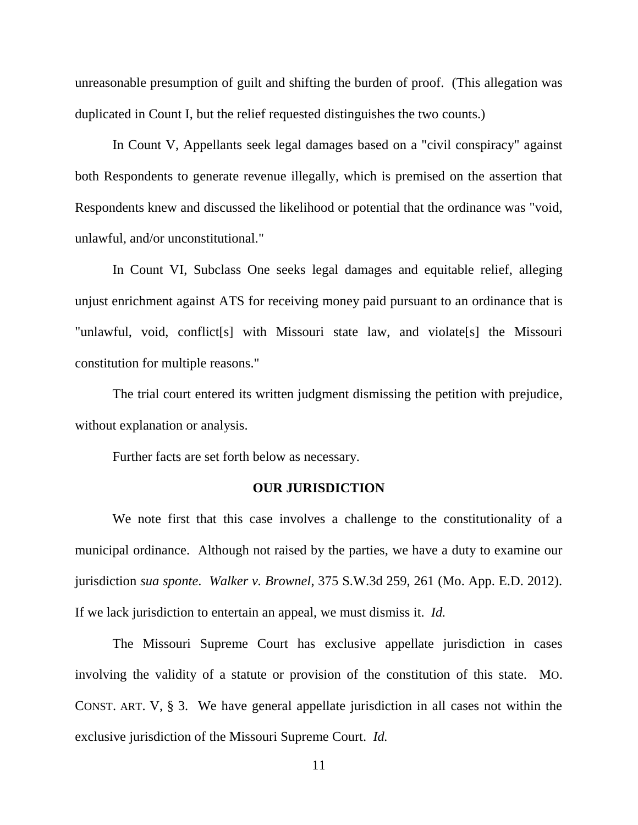unreasonable presumption of guilt and shifting the burden of proof. (This allegation was duplicated in Count I, but the relief requested distinguishes the two counts.)

In Count V, Appellants seek legal damages based on a "civil conspiracy" against both Respondents to generate revenue illegally, which is premised on the assertion that Respondents knew and discussed the likelihood or potential that the ordinance was "void, unlawful, and/or unconstitutional."

In Count VI, Subclass One seeks legal damages and equitable relief, alleging unjust enrichment against ATS for receiving money paid pursuant to an ordinance that is "unlawful, void, conflict[s] with Missouri state law, and violate[s] the Missouri constitution for multiple reasons."

The trial court entered its written judgment dismissing the petition with prejudice, without explanation or analysis.

Further facts are set forth below as necessary.

### **OUR JURISDICTION**

We note first that this case involves a challenge to the constitutionality of a municipal ordinance. Although not raised by the parties, we have a duty to examine our jurisdiction *sua sponte*. *Walker v. Brownel*, 375 S.W.3d 259, 261 (Mo. App. E.D. 2012). If we lack jurisdiction to entertain an appeal, we must dismiss it. *Id.*

The Missouri Supreme Court has exclusive appellate jurisdiction in cases involving the validity of a statute or provision of the constitution of this state. MO. CONST. ART. V, § 3. We have general appellate jurisdiction in all cases not within the exclusive jurisdiction of the Missouri Supreme Court. *Id.*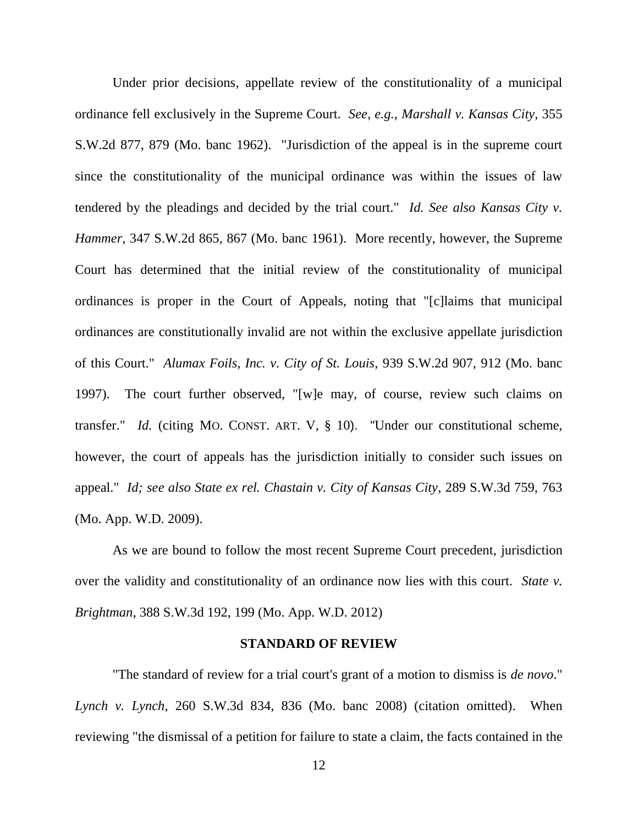Under prior decisions, appellate review of the constitutionality of a municipal ordinance fell exclusively in the Supreme Court. *See, e.g., Marshall v. Kansas City*, 355 S.W.2d 877, 879 (Mo. banc 1962). "Jurisdiction of the appeal is in the supreme court since the constitutionality of the municipal ordinance was within the issues of law tendered by the pleadings and decided by the trial court." *Id. See also Kansas City v. Hammer*, 347 S.W.2d 865, 867 (Mo. banc 1961). More recently, however, the Supreme Court has determined that the initial review of the constitutionality of municipal ordinances is proper in the Court of Appeals, noting that "[c]laims that municipal ordinances are constitutionally invalid are not within the exclusive appellate jurisdiction of this Court." *Alumax Foils, Inc. v. City of St. Louis*, 939 S.W.2d 907, 912 (Mo. banc 1997). The court further observed, "[w]e may, of course, review such claims on transfer." *Id.* (citing MO. C[ONST](http://web2.westlaw.com/find/default.wl?mt=StateGovernment&db=1000229&rs=WLW13.01&docname=MOCNART5S10&rp=/find/default.wl&findtype=L&ordoc=1997058457&tc=-1&vr=2.0&fn=_top&sv=Split&tf=-1&pbc=C0F24210&utid=1). ART. V, § 10). "Under our constitutional scheme, however, the court of appeals has the jurisdiction initially to consider such issues on appeal." *Id; see also State ex rel. Chastain v. City of Kansas City*, 289 S.W.3d 759, 763 (Mo. App. W.D. 2009).

As we are bound to follow the most recent Supreme Court precedent, jurisdiction over the validity and constitutionality of an ordinance now lies with this court. *State v. Brightman*, 388 S.W.3d 192, 199 (Mo. App. W.D. 2012)

### **STANDARD OF REVIEW**

"The standard of review for a trial court's grant of a motion to dismiss is *de novo*." *Lynch v. Lynch*, 260 S.W.3d 834, 836 (Mo. banc 2008) (citation omitted). When reviewing "the dismissal of a petition for failure to state a claim, the facts contained in the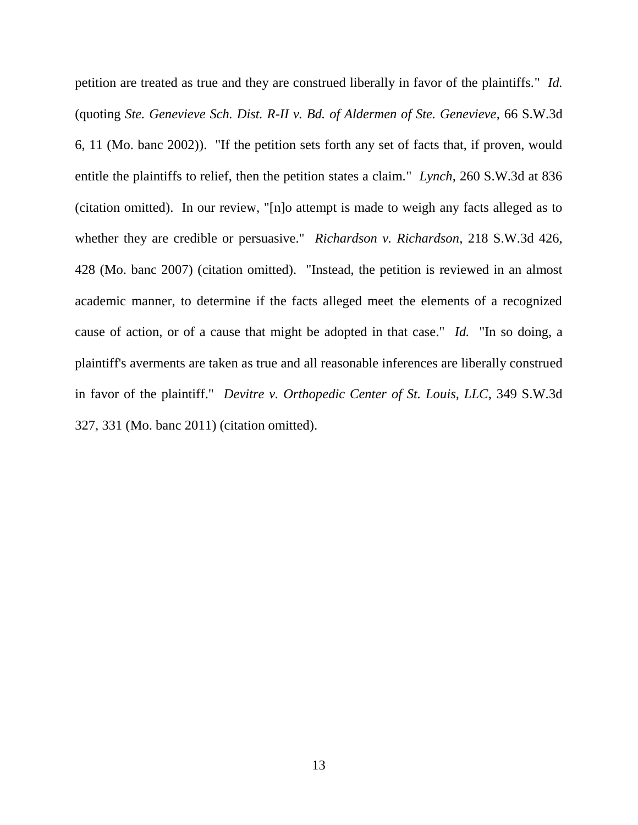petition are treated as true and they are construed liberally in favor of the plaintiffs." *Id.* (quoting *Ste. Genevieve Sch. Dist. R-II v. Bd. of Aldermen of Ste. Genevieve*, 66 S.W.3d 6, 11 (Mo. banc 2002)). "If the petition sets forth any set of facts that, if proven, would entitle the plaintiffs to relief, then the petition states a claim." *Lynch*, 260 S.W.3d at 836 (citation omitted). In our review, "[n]o attempt is made to weigh any facts alleged as to whether they are credible or persuasive." *Richardson v. Richardson*, 218 S.W.3d 426, 428 (Mo. banc 2007) (citation omitted). "Instead, the petition is reviewed in an almost academic manner, to determine if the facts alleged meet the elements of a recognized cause of action, or of a cause that might be adopted in that case." *Id.* "In so doing, a plaintiff's averments are taken as true and all reasonable inferences are liberally construed in favor of the plaintiff." *Devitre v. Orthopedic Center of St. Louis, LLC*, 349 S.W.3d 327, 331 (Mo. banc 2011) (citation omitted).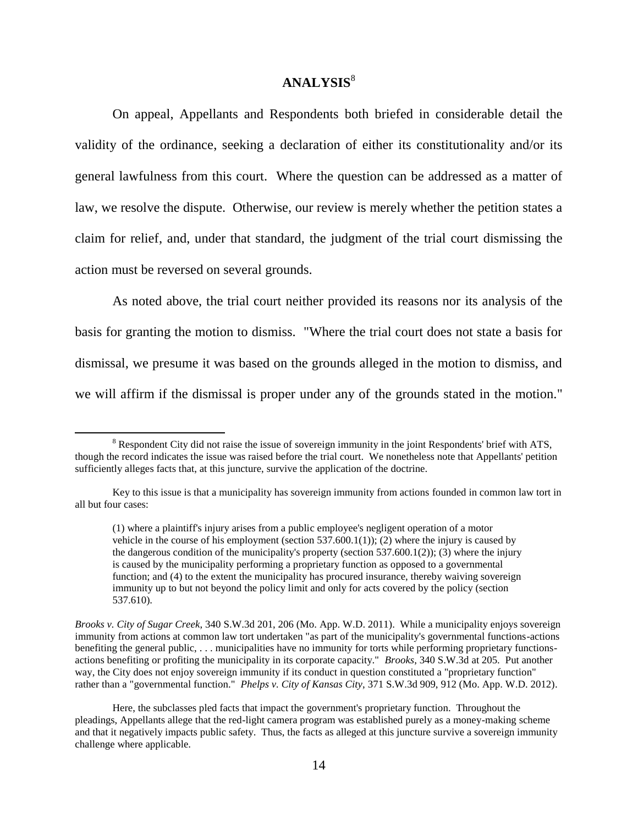### **ANALYSIS**<sup>8</sup>

On appeal, Appellants and Respondents both briefed in considerable detail the validity of the ordinance, seeking a declaration of either its constitutionality and/or its general lawfulness from this court. Where the question can be addressed as a matter of law, we resolve the dispute. Otherwise, our review is merely whether the petition states a claim for relief, and, under that standard, the judgment of the trial court dismissing the action must be reversed on several grounds.

As noted above, the trial court neither provided its reasons nor its analysis of the basis for granting the motion to dismiss. "Where the trial court does not state a basis for dismissal, we presume it was based on the grounds alleged in the motion to dismiss, and we will affirm if the dismissal is proper under any of the grounds stated in the motion."

 $\overline{a}$ 

*Brooks v. City of Sugar Creek*, 340 S.W.3d 201, 206 (Mo. App. W.D. 2011). While a municipality enjoys sovereign immunity from actions at common law tort undertaken "as part of the municipality's governmental functions-actions benefiting the general public, . . . municipalities have no immunity for torts while performing proprietary functionsactions benefiting or profiting the municipality in its corporate capacity." *Brooks*, 340 S.W.3d at 205. Put another way, the City does not enjoy sovereign immunity if its conduct in question constituted a "proprietary function" rather than a "governmental function." *Phelps v. City of Kansas City*, 371 S.W.3d 909, 912 (Mo. App. W.D. 2012).

Here, the subclasses pled facts that impact the government's proprietary function. Throughout the pleadings, Appellants allege that the red-light camera program was established purely as a money-making scheme and that it negatively impacts public safety. Thus, the facts as alleged at this juncture survive a sovereign immunity challenge where applicable.

<sup>&</sup>lt;sup>8</sup> Respondent City did not raise the issue of sovereign immunity in the joint Respondents' brief with ATS, though the record indicates the issue was raised before the trial court. We nonetheless note that Appellants' petition sufficiently alleges facts that, at this juncture, survive the application of the doctrine.

Key to this issue is that a municipality has sovereign immunity from actions founded in common law tort in all but four cases:

<sup>(1)</sup> where a plaintiff's injury arises from a public employee's negligent operation of a motor vehicle in the course of his employment (section  $537.600.1(1)$ ); (2) where the injury is caused by the dangerous condition of the municipality's property (section  $537.600.1(2)$ ); (3) where the injury is caused by the municipality performing a proprietary function as opposed to a governmental function; and (4) to the extent the municipality has procured insurance, thereby waiving sovereign immunity up to but not beyond the policy limit and only for acts covered by the policy (section 537.610).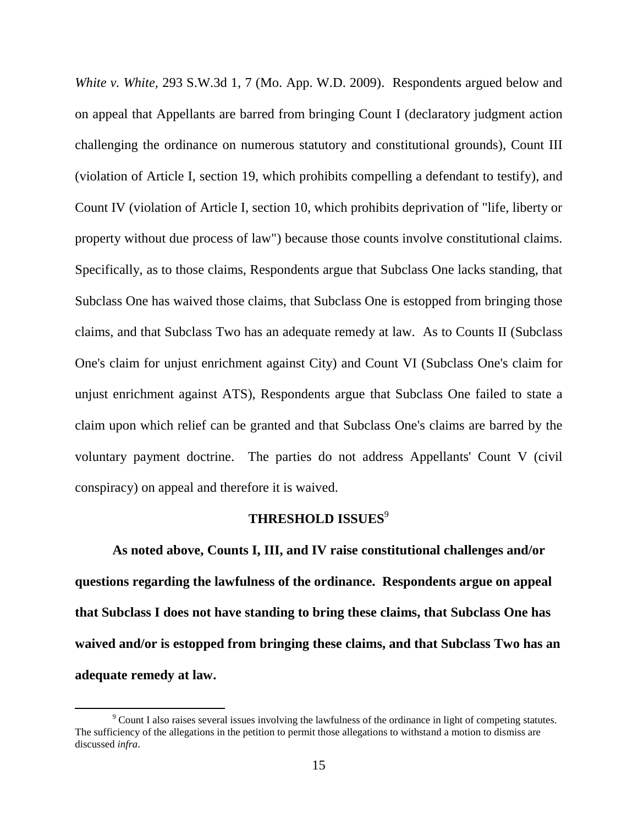*White v. White,* 293 S.W.3d 1, 7 (Mo. App. W.D. 2009). Respondents argued below and on appeal that Appellants are barred from bringing Count I (declaratory judgment action challenging the ordinance on numerous statutory and constitutional grounds), Count III (violation of Article I, section 19, which prohibits compelling a defendant to testify), and Count IV (violation of Article I, section 10, which prohibits deprivation of "life, liberty or property without due process of law") because those counts involve constitutional claims. Specifically, as to those claims, Respondents argue that Subclass One lacks standing, that Subclass One has waived those claims, that Subclass One is estopped from bringing those claims, and that Subclass Two has an adequate remedy at law. As to Counts II (Subclass One's claim for unjust enrichment against City) and Count VI (Subclass One's claim for unjust enrichment against ATS), Respondents argue that Subclass One failed to state a claim upon which relief can be granted and that Subclass One's claims are barred by the voluntary payment doctrine. The parties do not address Appellants' Count V (civil conspiracy) on appeal and therefore it is waived.

## **THRESHOLD ISSUES**<sup>9</sup>

**As noted above, Counts I, III, and IV raise constitutional challenges and/or questions regarding the lawfulness of the ordinance. Respondents argue on appeal that Subclass I does not have standing to bring these claims, that Subclass One has waived and/or is estopped from bringing these claims, and that Subclass Two has an adequate remedy at law.**

<sup>&</sup>lt;sup>9</sup> Count I also raises several issues involving the lawfulness of the ordinance in light of competing statutes. The sufficiency of the allegations in the petition to permit those allegations to withstand a motion to dismiss are discussed *infra*.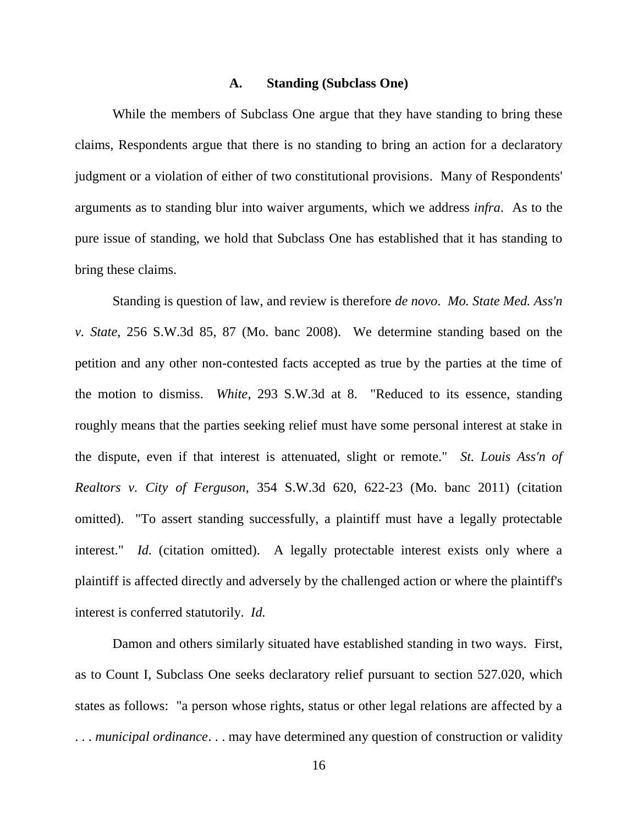### **A. Standing (Subclass One)**

While the members of Subclass One argue that they have standing to bring these claims, Respondents argue that there is no standing to bring an action for a declaratory judgment or a violation of either of two constitutional provisions. Many of Respondents' arguments as to standing blur into waiver arguments, which we address *infra*. As to the pure issue of standing, we hold that Subclass One has established that it has standing to bring these claims.

Standing is question of law, and review is therefore *de novo*. *Mo. State Med. Ass'n v. State*, 256 S.W.3d 85, 87 (Mo. banc 2008). We determine standing based on the petition and any other non-contested facts accepted as true by the parties at the time of the motion to dismiss. *White*, 293 S.W.3d at 8. "Reduced to its essence, standing roughly means that the parties seeking relief must have some personal interest at stake in the dispute, even if that interest is attenuated, slight or remote." *St. Louis Ass'n of Realtors v. City of Ferguson*, 354 S.W.3d 620, 622-23 (Mo. banc 2011) (citation omitted). "To assert standing successfully, a plaintiff must have a legally protectable interest." *Id.* (citation omitted). A legally protectable interest exists only where a plaintiff is affected directly and adversely by the challenged action or where the plaintiff's interest is conferred statutorily. *Id.*

Damon and others similarly situated have established standing in two ways. First, as to Count I, Subclass One seeks declaratory relief pursuant to section 527.020, which states as follows: "a person whose rights, status or other legal relations are affected by a . . . *municipal ordinance*. . . may have determined any question of construction or validity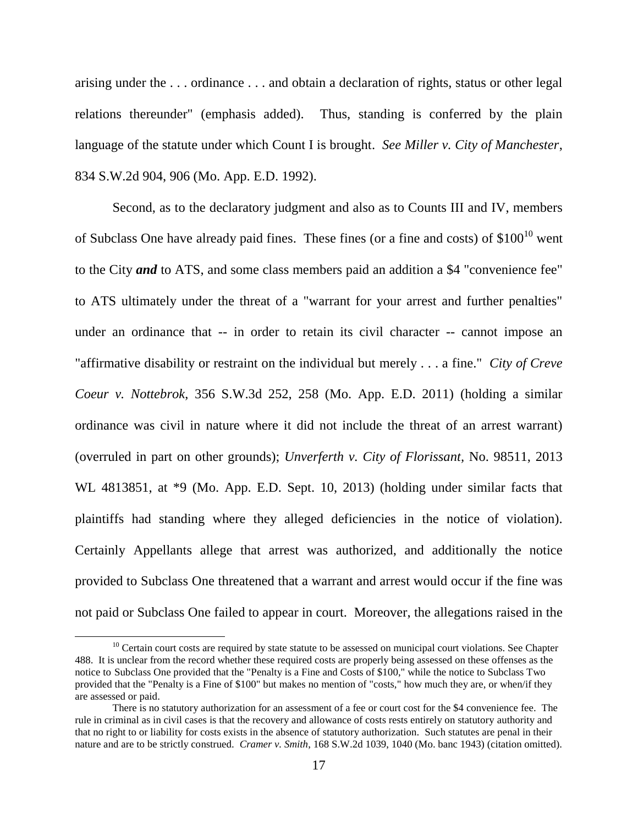arising under the . . . ordinance . . . and obtain a declaration of rights, status or other legal relations thereunder" (emphasis added). Thus, standing is conferred by the plain language of the statute under which Count I is brought. *See Miller v. City of Manchester*, 834 S.W.2d 904, 906 (Mo. App. E.D. 1992).

Second, as to the declaratory judgment and also as to Counts III and IV, members of Subclass One have already paid fines. These fines (or a fine and costs) of  $$100^{10}$  went to the City *and* to ATS, and some class members paid an addition a \$4 "convenience fee" to ATS ultimately under the threat of a "warrant for your arrest and further penalties" under an ordinance that -- in order to retain its civil character -- cannot impose an "affirmative disability or restraint on the individual but merely . . . a fine." *City of Creve Coeur v. Nottebrok*, 356 S.W.3d 252, 258 (Mo. App. E.D. 2011) (holding a similar ordinance was civil in nature where it did not include the threat of an arrest warrant) (overruled in part on other grounds); *Unverferth v. City of Florissant,* No. 98511, 2013 WL 4813851, at  $*9$  (Mo. App. E.D. Sept. 10, 2013) (holding under similar facts that plaintiffs had standing where they alleged deficiencies in the notice of violation). Certainly Appellants allege that arrest was authorized, and additionally the notice provided to Subclass One threatened that a warrant and arrest would occur if the fine was not paid or Subclass One failed to appear in court. Moreover, the allegations raised in the

 $10$  Certain court costs are required by state statute to be assessed on municipal court violations. See Chapter 488. It is unclear from the record whether these required costs are properly being assessed on these offenses as the notice to Subclass One provided that the "Penalty is a Fine and Costs of \$100," while the notice to Subclass Two provided that the "Penalty is a Fine of \$100" but makes no mention of "costs," how much they are, or when/if they are assessed or paid.

There is no statutory authorization for an assessment of a fee or court cost for the \$4 convenience fee. The rule in criminal as in civil cases is that the recovery and allowance of costs rests entirely on statutory authority and that no right to or liability for costs exists in the absence of statutory authorization. Such statutes are penal in their nature and are to be strictly construed. *Cramer v. Smith*, 168 S.W.2d 1039, 1040 (Mo. banc 1943) (citation omitted).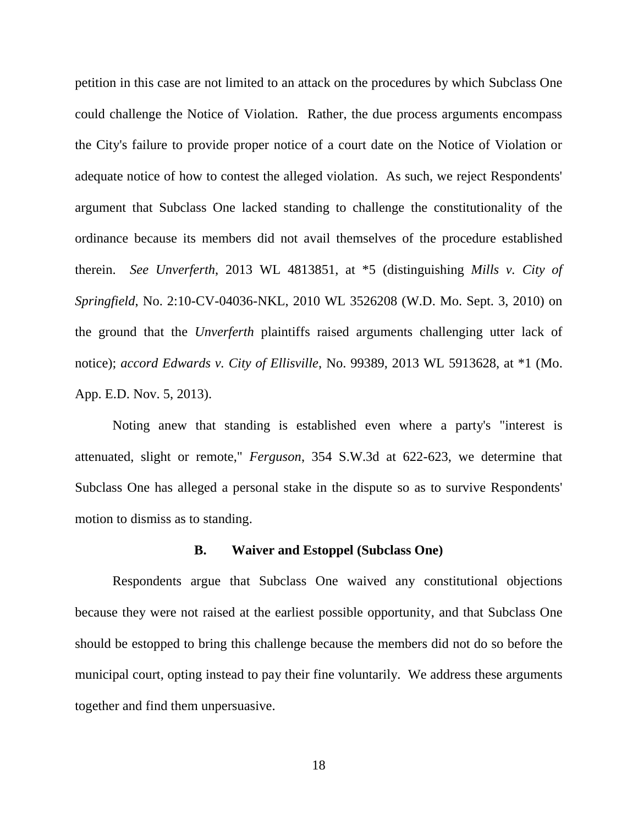petition in this case are not limited to an attack on the procedures by which Subclass One could challenge the Notice of Violation. Rather, the due process arguments encompass the City's failure to provide proper notice of a court date on the Notice of Violation or adequate notice of how to contest the alleged violation. As such, we reject Respondents' argument that Subclass One lacked standing to challenge the constitutionality of the ordinance because its members did not avail themselves of the procedure established therein. *See Unverferth*, 2013 WL 4813851, at \*5 (distinguishing *Mills v. City of Springfield*, No. 2:10-CV-04036-NKL, 2010 WL 3526208 (W.D. Mo. Sept. 3, 2010) on the ground that the *Unverferth* plaintiffs raised arguments challenging utter lack of notice); *accord Edwards v. City of Ellisville*, No. 99389, 2013 WL 5913628, at \*1 (Mo. App. E.D. Nov. 5, 2013).

Noting anew that standing is established even where a party's "interest is attenuated, slight or remote," *Ferguson*, 354 S.W.3d at 622-623, we determine that Subclass One has alleged a personal stake in the dispute so as to survive Respondents' motion to dismiss as to standing.

### **B. Waiver and Estoppel (Subclass One)**

Respondents argue that Subclass One waived any constitutional objections because they were not raised at the earliest possible opportunity, and that Subclass One should be estopped to bring this challenge because the members did not do so before the municipal court, opting instead to pay their fine voluntarily. We address these arguments together and find them unpersuasive.

18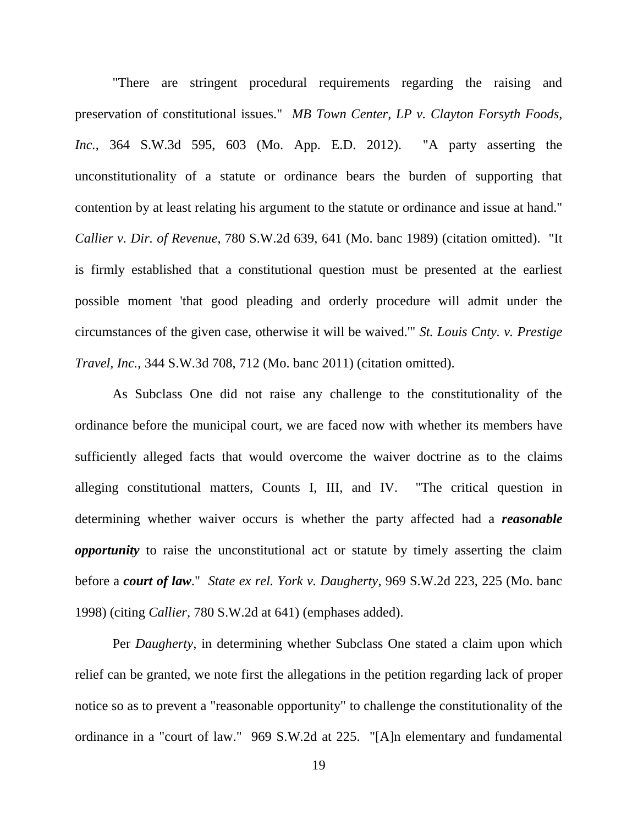"There are stringent procedural requirements regarding the raising and preservation of constitutional issues." *MB Town Center, LP v. Clayton Forsyth Foods, Inc.*, 364 S.W.3d 595, 603 (Mo. App. E.D. 2012). "A party asserting the unconstitutionality of a statute or ordinance bears the burden of supporting that contention by at least relating his argument to the statute or ordinance and issue at hand." *Callier v. Dir. of Revenue*, 780 S.W.2d 639, 641 (Mo. banc 1989) (citation omitted). "It is firmly established that a constitutional question must be presented at the earliest possible moment 'that good pleading and orderly procedure will admit under the circumstances of the given case, otherwise it will be waived.'" *St. Louis Cnty. v. Prestige Travel, Inc.*, 344 S.W.3d 708, 712 (Mo. banc 2011) (citation omitted).

As Subclass One did not raise any challenge to the constitutionality of the ordinance before the municipal court, we are faced now with whether its members have sufficiently alleged facts that would overcome the waiver doctrine as to the claims alleging constitutional matters, Counts I, III, and IV. "The critical question in determining whether waiver occurs is whether the party affected had a *reasonable opportunity* to raise the unconstitutional act or statute by timely asserting the claim before a *court of law*." *State ex rel. York v. Daugherty*, 969 S.W.2d 223, 225 (Mo. banc 1998) (citing *Callier*, 780 S.W.2d at 641) (emphases added).

Per *Daugherty*, in determining whether Subclass One stated a claim upon which relief can be granted, we note first the allegations in the petition regarding lack of proper notice so as to prevent a "reasonable opportunity" to challenge the constitutionality of the ordinance in a "court of law." 969 S.W.2d at 225. "[A]n elementary and fundamental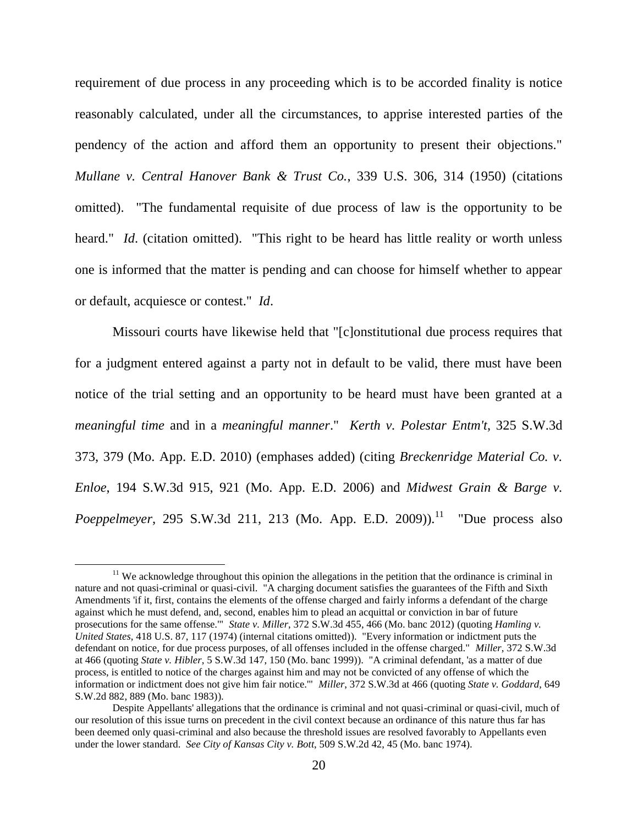requirement of due process in any proceeding which is to be accorded finality is notice reasonably calculated, under all the circumstances, to apprise interested parties of the pendency of the action and afford them an opportunity to present their objections." *Mullane v. Central Hanover Bank & Trust Co.*, 339 U.S. 306, 314 (1950) (citations omitted). "The fundamental requisite of due process of law is the opportunity to be heard." *Id.* (citation omitted). "This right to be heard has little reality or worth unless one is informed that the matter is pending and can choose for himself whether to appear or default, acquiesce or contest." *Id*.

Missouri courts have likewise held that "[c]onstitutional due process requires that for a judgment entered against a party not in default to be valid, there must have been notice of the trial setting and an opportunity to be heard must have been granted at a *meaningful time* and in a *meaningful manner*." *Kerth v. Polestar Entm't*, 325 S.W.3d 373, 379 (Mo. App. E.D. 2010) (emphases added) (citing *Breckenridge Material Co. v. Enloe*, 194 S.W.3d 915, 921 (Mo. App. E.D. 2006) and *Midwest Grain & Barge v. Poeppelmeyer*, 295 S.W.3d 211, 213 (Mo. App. E.D. 2009)).<sup>11</sup> "Due process also

 $11$  We acknowledge throughout this opinion the allegations in the petition that the ordinance is criminal in nature and not quasi-criminal or quasi-civil. "A charging document satisfies the guarantees of the Fifth and Sixth Amendments 'if it, first, contains the elements of the offense charged and fairly informs a defendant of the charge against which he must defend, and, second, enables him to plead an acquittal or conviction in bar of future prosecutions for the same offense.'" *State v. Miller*, 372 S.W.3d 455, 466 (Mo. banc 2012) (quoting *Hamling v. United States*, 418 U.S. 87, 117 (1974) (internal citations omitted)). "Every information or indictment puts the defendant on notice, for due process purposes, of all offenses included in the offense charged." *Miller*, 372 S.W.3d at 466 (quoting *State v. Hibler*, 5 S.W.3d 147, 150 (Mo. banc 1999)). "A criminal defendant, 'as a matter of due process, is entitled to notice of the charges against him and may not be convicted of any offense of which the information or indictment does not give him fair notice.'" *Miller*, 372 S.W.3d at 466 (quoting *State v. Goddard*, 649 S.W.2d 882, 889 (Mo. banc 1983)).

Despite Appellants' allegations that the ordinance is criminal and not quasi-criminal or quasi-civil, much of our resolution of this issue turns on precedent in the civil context because an ordinance of this nature thus far has been deemed only quasi-criminal and also because the threshold issues are resolved favorably to Appellants even under the lower standard. *See City of Kansas City v. Bott*, 509 S.W.2d 42, 45 (Mo. banc 1974).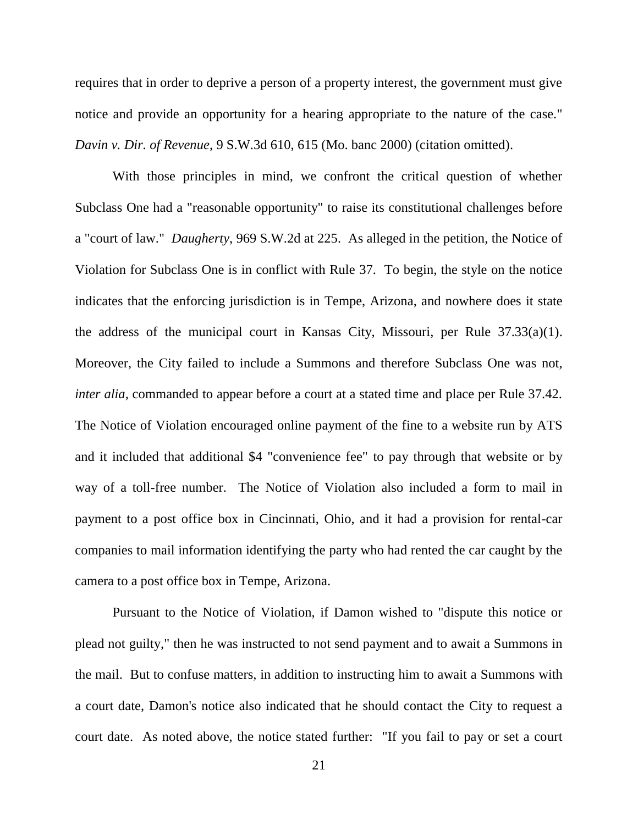requires that in order to deprive a person of a property interest, the government must give notice and provide an opportunity for a hearing appropriate to the nature of the case." *Davin v. Dir. of Revenue*, 9 S.W.3d 610, 615 (Mo. banc 2000) (citation omitted).

With those principles in mind, we confront the critical question of whether Subclass One had a "reasonable opportunity" to raise its constitutional challenges before a "court of law." *Daugherty*, 969 S.W.2d at 225. As alleged in the petition, the Notice of Violation for Subclass One is in conflict with Rule 37. To begin, the style on the notice indicates that the enforcing jurisdiction is in Tempe, Arizona, and nowhere does it state the address of the municipal court in Kansas City, Missouri, per Rule 37.33(a)(1). Moreover, the City failed to include a Summons and therefore Subclass One was not, *inter alia*, commanded to appear before a court at a stated time and place per Rule 37.42. The Notice of Violation encouraged online payment of the fine to a website run by ATS and it included that additional \$4 "convenience fee" to pay through that website or by way of a toll-free number. The Notice of Violation also included a form to mail in payment to a post office box in Cincinnati, Ohio, and it had a provision for rental-car companies to mail information identifying the party who had rented the car caught by the camera to a post office box in Tempe, Arizona.

Pursuant to the Notice of Violation, if Damon wished to "dispute this notice or plead not guilty," then he was instructed to not send payment and to await a Summons in the mail. But to confuse matters, in addition to instructing him to await a Summons with a court date, Damon's notice also indicated that he should contact the City to request a court date. As noted above, the notice stated further: "If you fail to pay or set a court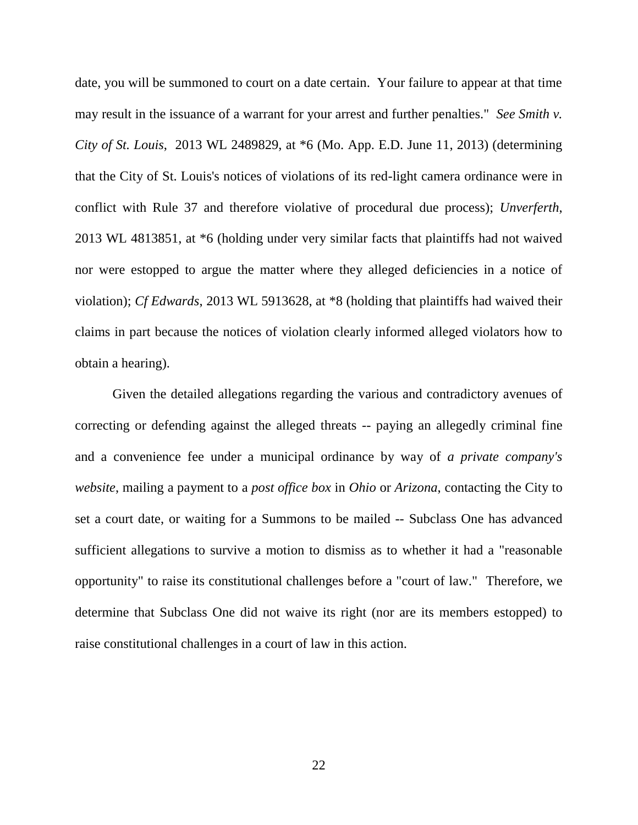date, you will be summoned to court on a date certain. Your failure to appear at that time may result in the issuance of a warrant for your arrest and further penalties." *See Smith v. City of St. Louis*, 2013 WL 2489829, at \*6 (Mo. App. E.D. June 11, 2013) (determining that the City of St. Louis's notices of violations of its red-light camera ordinance were in conflict with Rule 37 and therefore violative of procedural due process); *Unverferth*, 2013 WL 4813851, at \*6 (holding under very similar facts that plaintiffs had not waived nor were estopped to argue the matter where they alleged deficiencies in a notice of violation); *Cf Edwards*, 2013 WL 5913628, at \*8 (holding that plaintiffs had waived their claims in part because the notices of violation clearly informed alleged violators how to obtain a hearing).

Given the detailed allegations regarding the various and contradictory avenues of correcting or defending against the alleged threats -- paying an allegedly criminal fine and a convenience fee under a municipal ordinance by way of *a private company's website*, mailing a payment to a *post office box* in *Ohio* or *Arizona*, contacting the City to set a court date, or waiting for a Summons to be mailed -- Subclass One has advanced sufficient allegations to survive a motion to dismiss as to whether it had a "reasonable opportunity" to raise its constitutional challenges before a "court of law." Therefore, we determine that Subclass One did not waive its right (nor are its members estopped) to raise constitutional challenges in a court of law in this action.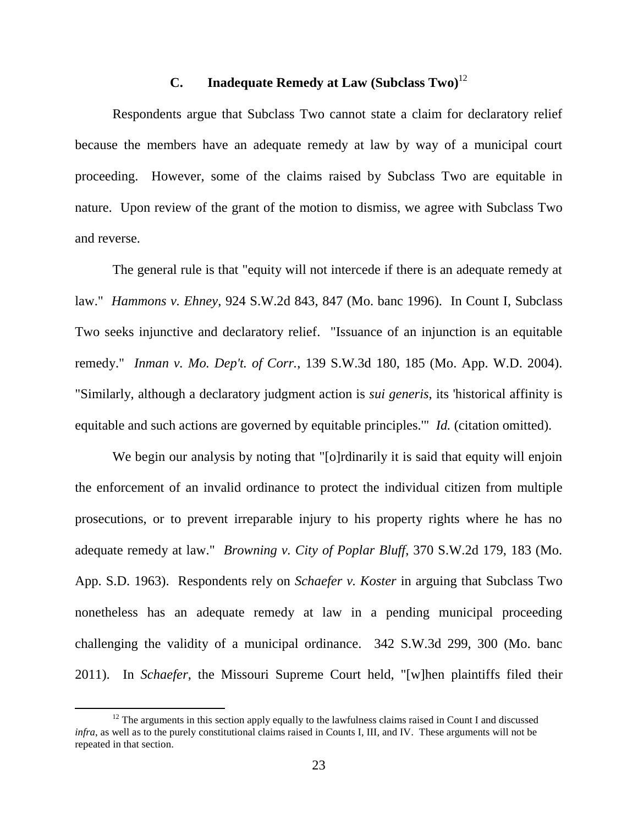## **C. Inadequate Remedy at Law (Subclass Two)** 12

Respondents argue that Subclass Two cannot state a claim for declaratory relief because the members have an adequate remedy at law by way of a municipal court proceeding. However, some of the claims raised by Subclass Two are equitable in nature. Upon review of the grant of the motion to dismiss, we agree with Subclass Two and reverse.

The general rule is that "equity will not intercede if there is an adequate remedy at law." *Hammons v. Ehney*, 924 S.W.2d 843, 847 (Mo. banc 1996). In Count I, Subclass Two seeks injunctive and declaratory relief. "Issuance of an injunction is an equitable remedy." *Inman v. Mo. Dep't. of Corr.*, 139 S.W.3d 180, 185 (Mo. App. W.D. 2004). "Similarly, although a declaratory judgment action is *sui generis*, its 'historical affinity is equitable and such actions are governed by equitable principles.'" *Id.* (citation omitted).

We begin our analysis by noting that "[o]rdinarily it is said that equity will enjoin the enforcement of an invalid ordinance to protect the individual citizen from multiple prosecutions, or to prevent irreparable injury to his property rights where he has no adequate remedy at law." *Browning v. City of Poplar Bluff*, 370 S.W.2d 179, 183 (Mo. App. S.D. 1963). Respondents rely on *Schaefer v. Koster* in arguing that Subclass Two nonetheless has an adequate remedy at law in a pending municipal proceeding challenging the validity of a municipal ordinance. 342 S.W.3d 299, 300 (Mo. banc 2011). In *Schaefer*, the Missouri Supreme Court held, "[w]hen plaintiffs filed their

<sup>&</sup>lt;sup>12</sup> The arguments in this section apply equally to the lawfulness claims raised in Count I and discussed *infra*, as well as to the purely constitutional claims raised in Counts I, III, and IV*.* These arguments will not be repeated in that section.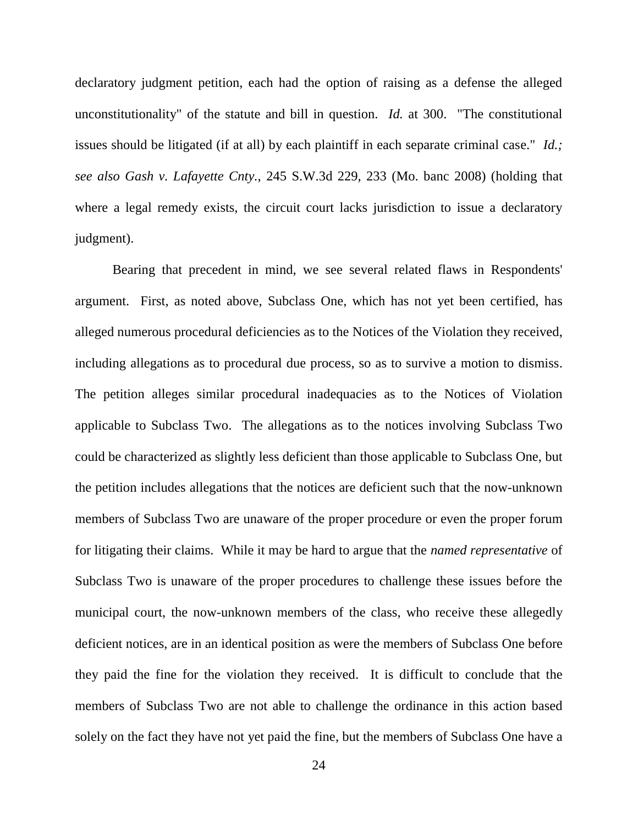declaratory judgment petition, each had the option of raising as a defense the alleged unconstitutionality" of the statute and bill in question. *Id.* at 300. "The constitutional issues should be litigated (if at all) by each plaintiff in each separate criminal case." *Id.; see also Gash v. Lafayette Cnty.*, 245 S.W.3d 229, 233 (Mo. banc 2008) (holding that where a legal remedy exists, the circuit court lacks jurisdiction to issue a declaratory judgment).

Bearing that precedent in mind, we see several related flaws in Respondents' argument. First, as noted above, Subclass One, which has not yet been certified, has alleged numerous procedural deficiencies as to the Notices of the Violation they received, including allegations as to procedural due process, so as to survive a motion to dismiss. The petition alleges similar procedural inadequacies as to the Notices of Violation applicable to Subclass Two. The allegations as to the notices involving Subclass Two could be characterized as slightly less deficient than those applicable to Subclass One, but the petition includes allegations that the notices are deficient such that the now-unknown members of Subclass Two are unaware of the proper procedure or even the proper forum for litigating their claims. While it may be hard to argue that the *named representative* of Subclass Two is unaware of the proper procedures to challenge these issues before the municipal court, the now-unknown members of the class, who receive these allegedly deficient notices, are in an identical position as were the members of Subclass One before they paid the fine for the violation they received. It is difficult to conclude that the members of Subclass Two are not able to challenge the ordinance in this action based solely on the fact they have not yet paid the fine, but the members of Subclass One have a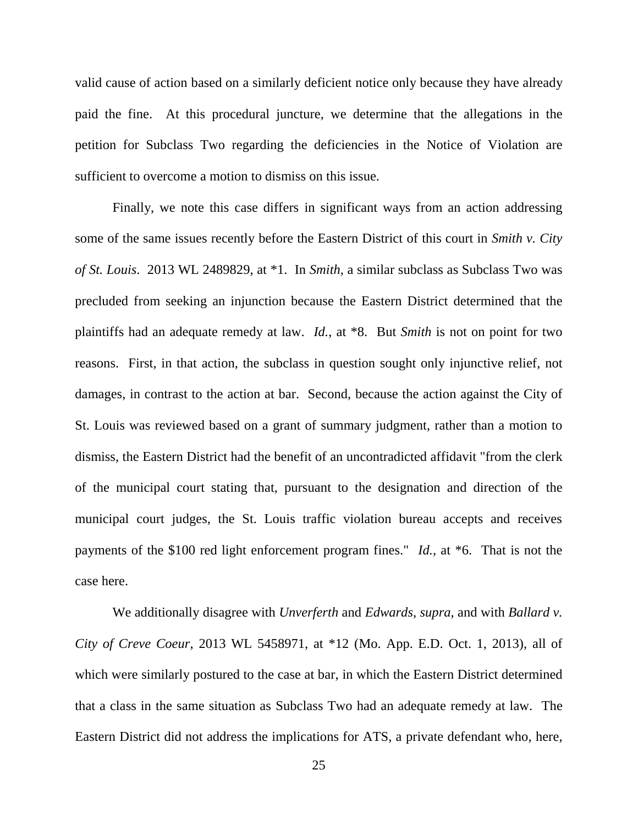valid cause of action based on a similarly deficient notice only because they have already paid the fine. At this procedural juncture, we determine that the allegations in the petition for Subclass Two regarding the deficiencies in the Notice of Violation are sufficient to overcome a motion to dismiss on this issue.

Finally, we note this case differs in significant ways from an action addressing some of the same issues recently before the Eastern District of this court in *Smith v. City of St. Louis*. 2013 WL 2489829, at \*1. In *Smith*, a similar subclass as Subclass Two was precluded from seeking an injunction because the Eastern District determined that the plaintiffs had an adequate remedy at law. *Id.*, at \*8. But *Smith* is not on point for two reasons. First, in that action, the subclass in question sought only injunctive relief, not damages, in contrast to the action at bar. Second, because the action against the City of St. Louis was reviewed based on a grant of summary judgment, rather than a motion to dismiss, the Eastern District had the benefit of an uncontradicted affidavit "from the clerk of the municipal court stating that, pursuant to the designation and direction of the municipal court judges, the St. Louis traffic violation bureau accepts and receives payments of the \$100 red light enforcement program fines." *Id.*, at \*6. That is not the case here.

We additionally disagree with *Unverferth* and *Edwards*, *supra*, and with *Ballard v. City of Creve Coeur*, 2013 WL 5458971, at \*12 (Mo. App. E.D. Oct. 1, 2013), all of which were similarly postured to the case at bar, in which the Eastern District determined that a class in the same situation as Subclass Two had an adequate remedy at law. The Eastern District did not address the implications for ATS, a private defendant who, here,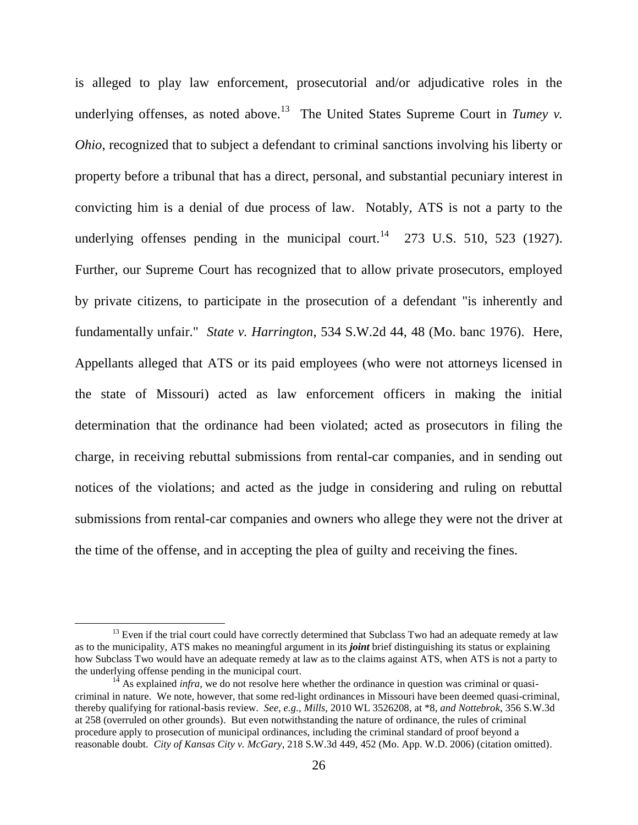is alleged to play law enforcement, prosecutorial and/or adjudicative roles in the underlying offenses, as noted above.<sup>13</sup> The United States Supreme Court in *Tumey v*. *Ohio*, recognized that to subject a defendant to criminal sanctions involving his liberty or property before a tribunal that has a direct, personal, and substantial pecuniary interest in convicting him is a denial of due process of law. Notably, ATS is not a party to the underlying offenses pending in the municipal court.<sup>14</sup> 273 U.S. 510, 523 (1927). Further, our Supreme Court has recognized that to allow private prosecutors, employed by private citizens, to participate in the prosecution of a defendant "is inherently and fundamentally unfair." *State v. Harrington*, 534 S.W.2d 44, 48 (Mo. banc 1976). Here, Appellants alleged that ATS or its paid employees (who were not attorneys licensed in the state of Missouri) acted as law enforcement officers in making the initial determination that the ordinance had been violated; acted as prosecutors in filing the charge, in receiving rebuttal submissions from rental-car companies, and in sending out notices of the violations; and acted as the judge in considering and ruling on rebuttal submissions from rental-car companies and owners who allege they were not the driver at the time of the offense, and in accepting the plea of guilty and receiving the fines.

 $13$  Even if the trial court could have correctly determined that Subclass Two had an adequate remedy at law as to the municipality, ATS makes no meaningful argument in its *joint* brief distinguishing its status or explaining how Subclass Two would have an adequate remedy at law as to the claims against ATS, when ATS is not a party to the underlying offense pending in the municipal court.

 $14$  As explained *infra*, we do not resolve here whether the ordinance in question was criminal or quasicriminal in nature. We note, however, that some red-light ordinances in Missouri have been deemed quasi-criminal, thereby qualifying for rational-basis review. *See, e.g., Mills*, 2010 WL 3526208, at \*8, *and Nottebrok*, 356 S.W.3d at 258 (overruled on other grounds). But even notwithstanding the nature of ordinance, the rules of criminal procedure apply to prosecution of municipal ordinances, including the criminal standard of proof beyond a reasonable doubt. *City of Kansas City v. McGary*, 218 S.W.3d 449, 452 (Mo. App. W.D. 2006) (citation omitted).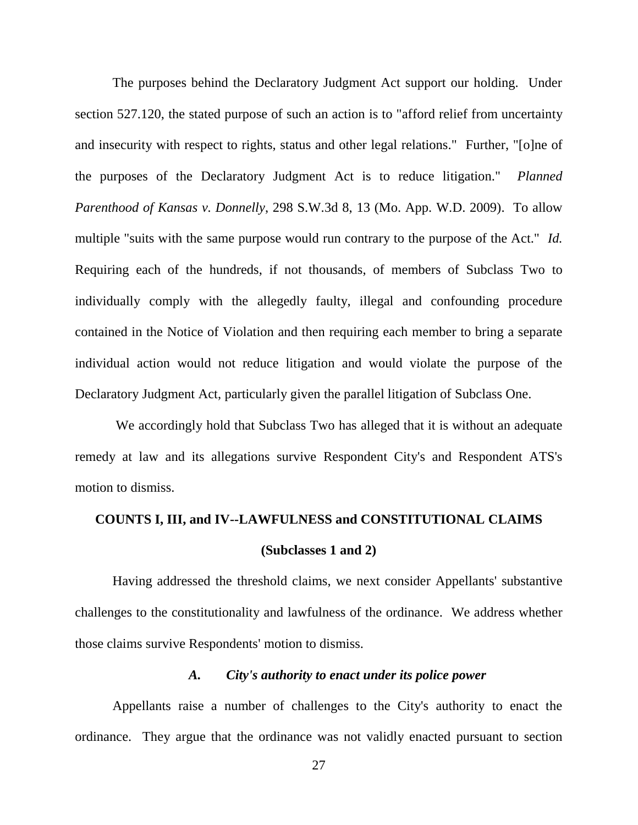The purposes behind the Declaratory Judgment Act support our holding. Under section 527.120, the stated purpose of such an action is to "afford relief from uncertainty and insecurity with respect to rights, status and other legal relations." Further, "[o]ne of the purposes of the Declaratory Judgment Act is to reduce litigation." *Planned Parenthood of Kansas v. Donnelly*, 298 S.W.3d 8, 13 (Mo. App. W.D. 2009). To allow multiple "suits with the same purpose would run contrary to the purpose of the Act." *Id.*  Requiring each of the hundreds, if not thousands, of members of Subclass Two to individually comply with the allegedly faulty, illegal and confounding procedure contained in the Notice of Violation and then requiring each member to bring a separate individual action would not reduce litigation and would violate the purpose of the Declaratory Judgment Act, particularly given the parallel litigation of Subclass One.

We accordingly hold that Subclass Two has alleged that it is without an adequate remedy at law and its allegations survive Respondent City's and Respondent ATS's motion to dismiss.

# **COUNTS I, III, and IV--LAWFULNESS and CONSTITUTIONAL CLAIMS (Subclasses 1 and 2)**

Having addressed the threshold claims, we next consider Appellants' substantive challenges to the constitutionality and lawfulness of the ordinance. We address whether those claims survive Respondents' motion to dismiss.

### *A. City's authority to enact under its police power*

Appellants raise a number of challenges to the City's authority to enact the ordinance. They argue that the ordinance was not validly enacted pursuant to section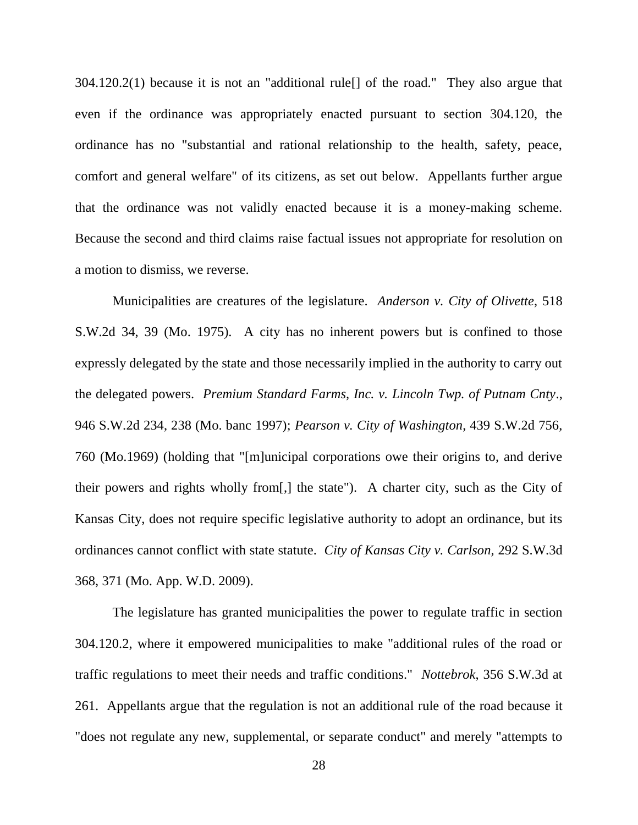304.120.2(1) because it is not an "additional rule[] of the road." They also argue that even if the ordinance was appropriately enacted pursuant to section 304.120, the ordinance has no "substantial and rational relationship to the health, safety, peace, comfort and general welfare" of its citizens, as set out below. Appellants further argue that the ordinance was not validly enacted because it is a money-making scheme. Because the second and third claims raise factual issues not appropriate for resolution on a motion to dismiss, we reverse.

Municipalities are creatures of the legislature. *Anderson v. City of Olivette*, 518 S.W.2d 34, 39 (Mo. 1975). A city has no inherent powers but is confined to those expressly delegated by the state and those necessarily implied in the authority to carry out the delegated powers. *Premium Standard Farms, Inc. v. Lincoln Twp. of Putnam Cnty*., 946 S.W.2d 234, 238 (Mo. banc 1997); *Pearson v. City of Washington*, 439 S.W.2d 756, 760 (Mo.1969) (holding that "[m]unicipal corporations owe their origins to, and derive their powers and rights wholly from[,] the state"). A charter city, such as the City of Kansas City, does not require specific legislative authority to adopt an ordinance, but its ordinances cannot conflict with state statute. *City of Kansas City v. Carlson,* 292 S.W.3d 368, 371 (Mo. App. W.D. 2009).

The legislature has granted municipalities the power to regulate traffic in section 304.120.2, where it empowered municipalities to make "additional rules of the road or traffic regulations to meet their needs and traffic conditions." *Nottebrok*, 356 S.W.3d at 261. Appellants argue that the regulation is not an additional rule of the road because it "does not regulate any new, supplemental, or separate conduct" and merely "attempts to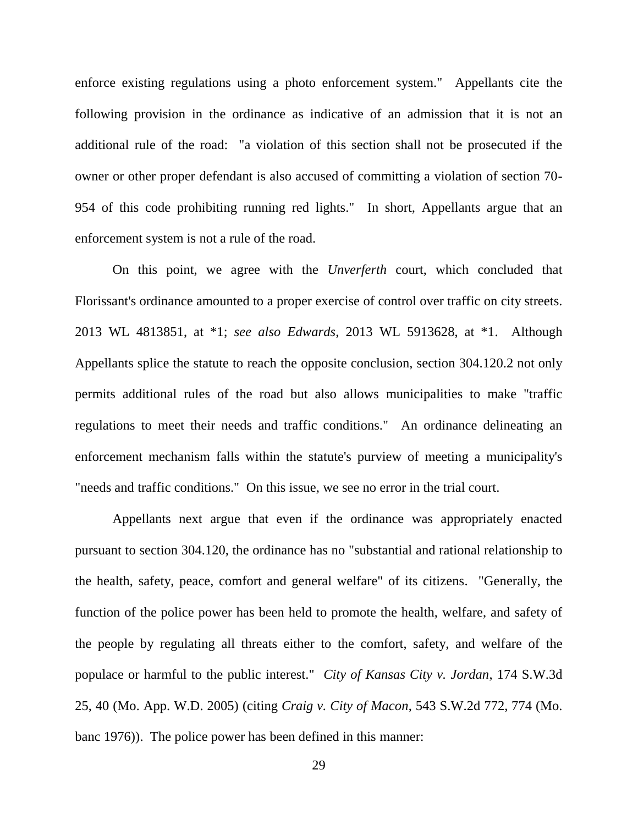enforce existing regulations using a photo enforcement system." Appellants cite the following provision in the ordinance as indicative of an admission that it is not an additional rule of the road: "a violation of this section shall not be prosecuted if the owner or other proper defendant is also accused of committing a violation of section 70- 954 of this code prohibiting running red lights." In short, Appellants argue that an enforcement system is not a rule of the road.

On this point, we agree with the *Unverferth* court, which concluded that Florissant's ordinance amounted to a proper exercise of control over traffic on city streets. 2013 WL 4813851, at \*1; *see also Edwards*, 2013 WL 5913628, at \*1. Although Appellants splice the statute to reach the opposite conclusion, section 304.120.2 not only permits additional rules of the road but also allows municipalities to make "traffic regulations to meet their needs and traffic conditions." An ordinance delineating an enforcement mechanism falls within the statute's purview of meeting a municipality's "needs and traffic conditions." On this issue, we see no error in the trial court.

Appellants next argue that even if the ordinance was appropriately enacted pursuant to section 304.120, the ordinance has no "substantial and rational relationship to the health, safety, peace, comfort and general welfare" of its citizens. "Generally, the function of the police power has been held to promote the health, welfare, and safety of the people by regulating all threats either to the comfort, safety, and welfare of the populace or harmful to the public interest." *City of Kansas City v. Jordan*, 174 S.W.3d 25, 40 (Mo. App. W.D. 2005) (citing *Craig v. City of Macon*, 543 S.W.2d 772, 774 (Mo. banc 1976)). The police power has been defined in this manner: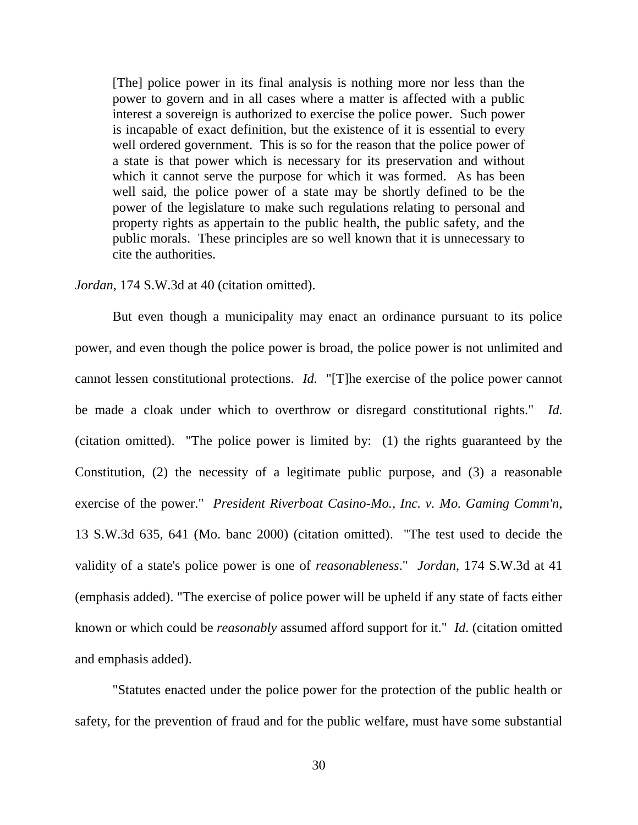[The] police power in its final analysis is nothing more nor less than the power to govern and in all cases where a matter is affected with a public interest a sovereign is authorized to exercise the police power. Such power is incapable of exact definition, but the existence of it is essential to every well ordered government. This is so for the reason that the police power of a state is that power which is necessary for its preservation and without which it cannot serve the purpose for which it was formed. As has been well said, the police power of a state may be shortly defined to be the power of the legislature to make such regulations relating to personal and property rights as appertain to the public health, the public safety, and the public morals. These principles are so well known that it is unnecessary to cite the authorities.

### *Jordan*, 174 S.W.3d at 40 (citation omitted).

But even though a municipality may enact an ordinance pursuant to its police power, and even though the police power is broad, the police power is not unlimited and cannot lessen constitutional protections. *Id.* "[T]he exercise of the police power cannot be made a cloak under which to overthrow or disregard constitutional rights." *Id.*  (citation omitted). "The police power is limited by: (1) the rights guaranteed by the Constitution, (2) the necessity of a legitimate public purpose, and (3) a reasonable exercise of the power." *President Riverboat Casino-Mo., Inc. v. Mo. Gaming Comm'n*, 13 S.W.3d 635, 641 (Mo. banc 2000) (citation omitted). "The test used to decide the validity of a state's police power is one of *reasonableness*." *Jordan*, 174 S.W.3d at 41 (emphasis added). "The exercise of police power will be upheld if any state of facts either known or which could be *reasonably* assumed afford support for it." *Id*. (citation omitted and emphasis added).

"Statutes enacted under the police power for the protection of the public health or safety, for the prevention of fraud and for the public welfare, must have some substantial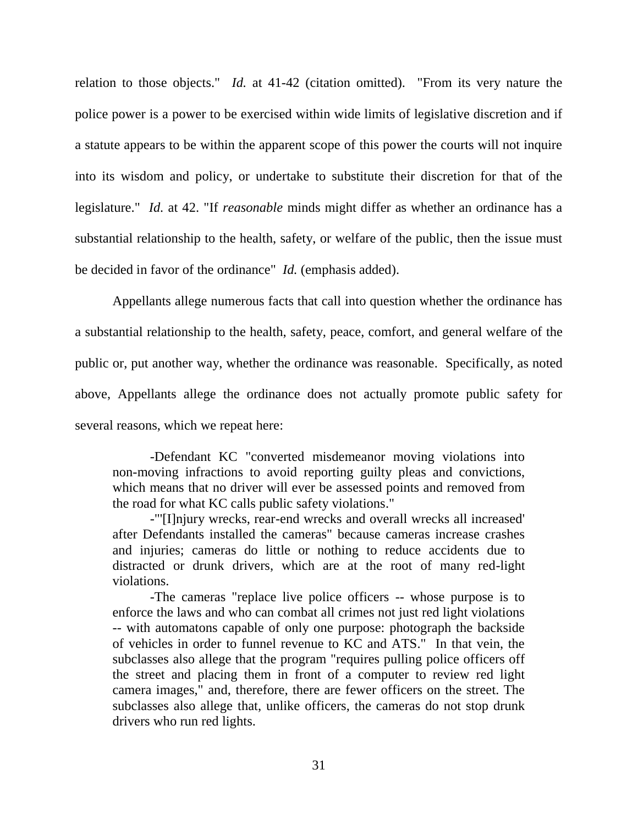relation to those objects." *Id.* at 41-42 (citation omitted). "From its very nature the police power is a power to be exercised within wide limits of legislative discretion and if a statute appears to be within the apparent scope of this power the courts will not inquire into its wisdom and policy, or undertake to substitute their discretion for that of the legislature." *Id.* at 42. "If *reasonable* minds might differ as whether an ordinance has a substantial relationship to the health, safety, or welfare of the public, then the issue must be decided in favor of the ordinance" *Id.* (emphasis added).

Appellants allege numerous facts that call into question whether the ordinance has a substantial relationship to the health, safety, peace, comfort, and general welfare of the public or, put another way, whether the ordinance was reasonable. Specifically, as noted above, Appellants allege the ordinance does not actually promote public safety for several reasons, which we repeat here:

-Defendant KC "converted misdemeanor moving violations into non-moving infractions to avoid reporting guilty pleas and convictions, which means that no driver will ever be assessed points and removed from the road for what KC calls public safety violations."

-"'[I]njury wrecks, rear-end wrecks and overall wrecks all increased' after Defendants installed the cameras" because cameras increase crashes and injuries; cameras do little or nothing to reduce accidents due to distracted or drunk drivers, which are at the root of many red-light violations.

-The cameras "replace live police officers -- whose purpose is to enforce the laws and who can combat all crimes not just red light violations -- with automatons capable of only one purpose: photograph the backside of vehicles in order to funnel revenue to KC and ATS." In that vein, the subclasses also allege that the program "requires pulling police officers off the street and placing them in front of a computer to review red light camera images," and, therefore, there are fewer officers on the street. The subclasses also allege that, unlike officers, the cameras do not stop drunk drivers who run red lights.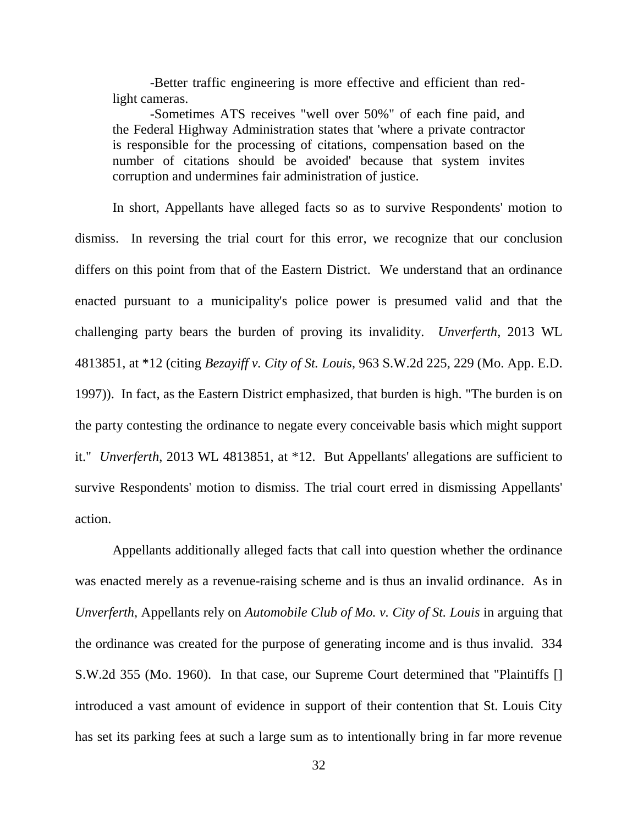-Better traffic engineering is more effective and efficient than redlight cameras.

-Sometimes ATS receives "well over 50%" of each fine paid, and the Federal Highway Administration states that 'where a private contractor is responsible for the processing of citations, compensation based on the number of citations should be avoided' because that system invites corruption and undermines fair administration of justice.

In short, Appellants have alleged facts so as to survive Respondents' motion to dismiss. In reversing the trial court for this error, we recognize that our conclusion differs on this point from that of the Eastern District. We understand that an ordinance enacted pursuant to a municipality's police power is presumed valid and that the challenging party bears the burden of proving its invalidity. *Unverferth*, 2013 WL 4813851, at \*12 (citing *Bezayiff v. City of St. Louis*, 963 S.W.2d 225, 229 (Mo. App. E.D. 1997)). In fact, as the Eastern District emphasized, that burden is high. "The burden is on the party contesting the ordinance to negate every conceivable basis which might support it." *Unverferth*, 2013 WL 4813851, at \*12*.* But Appellants' allegations are sufficient to survive Respondents' motion to dismiss. The trial court erred in dismissing Appellants' action.

Appellants additionally alleged facts that call into question whether the ordinance was enacted merely as a revenue-raising scheme and is thus an invalid ordinance. As in *Unverferth*, Appellants rely on *Automobile Club of Mo. v. City of St. Louis* in arguing that the ordinance was created for the purpose of generating income and is thus invalid. 334 S.W.2d 355 (Mo. 1960). In that case, our Supreme Court determined that "Plaintiffs [] introduced a vast amount of evidence in support of their contention that St. Louis City has set its parking fees at such a large sum as to intentionally bring in far more revenue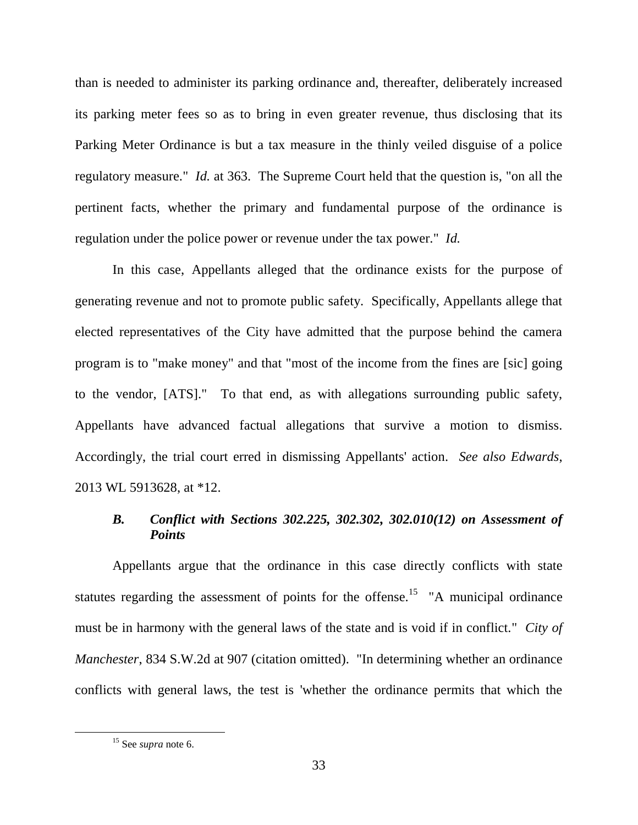than is needed to administer its parking ordinance and, thereafter, deliberately increased its parking meter fees so as to bring in even greater revenue, thus disclosing that its Parking Meter Ordinance is but a tax measure in the thinly veiled disguise of a police regulatory measure." *Id.* at 363. The Supreme Court held that the question is, "on all the pertinent facts, whether the primary and fundamental purpose of the ordinance is regulation under the police power or revenue under the tax power." *Id.* 

In this case, Appellants alleged that the ordinance exists for the purpose of generating revenue and not to promote public safety. Specifically, Appellants allege that elected representatives of the City have admitted that the purpose behind the camera program is to "make money" and that "most of the income from the fines are [sic] going to the vendor, [ATS]." To that end, as with allegations surrounding public safety, Appellants have advanced factual allegations that survive a motion to dismiss. Accordingly, the trial court erred in dismissing Appellants' action. *See also Edwards*, 2013 WL 5913628, at \*12.

## *B. Conflict with Sections 302.225, 302.302, 302.010(12) on Assessment of Points*

Appellants argue that the ordinance in this case directly conflicts with state statutes regarding the assessment of points for the offense.<sup>15</sup> "A municipal ordinance must be in harmony with the general laws of the state and is void if in conflict." *City of Manchester*, 834 S.W.2d at 907 (citation omitted). "In determining whether an ordinance conflicts with general laws, the test is 'whether the ordinance permits that which the

<sup>15</sup> See *supra* note 6.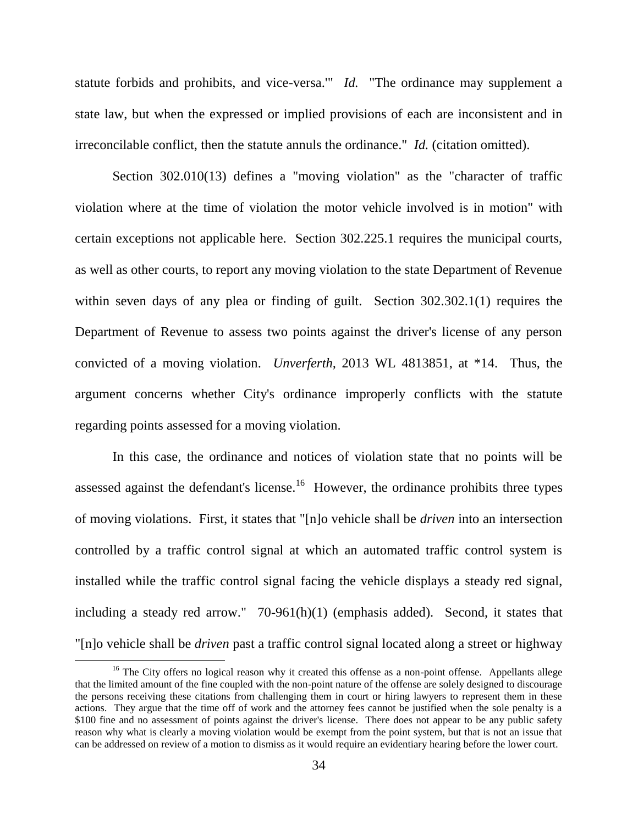statute forbids and prohibits, and vice-versa.'" *Id.* "The ordinance may supplement a state law, but when the expressed or implied provisions of each are inconsistent and in irreconcilable conflict, then the statute annuls the ordinance." *Id.* (citation omitted).

Section 302.010(13) defines a "moving violation" as the "character of traffic violation where at the time of violation the motor vehicle involved is in motion" with certain exceptions not applicable here. Section 302.225.1 requires the municipal courts, as well as other courts, to report any moving violation to the state Department of Revenue within seven days of any plea or finding of guilt. Section 302.302.1(1) requires the Department of Revenue to assess two points against the driver's license of any person convicted of a moving violation. *Unverferth,* 2013 WL 4813851, at \*14. Thus, the argument concerns whether City's ordinance improperly conflicts with the statute regarding points assessed for a moving violation.

In this case, the ordinance and notices of violation state that no points will be assessed against the defendant's license.<sup>16</sup> However, the ordinance prohibits three types of moving violations. First, it states that "[n]o vehicle shall be *driven* into an intersection controlled by a traffic control signal at which an automated traffic control system is installed while the traffic control signal facing the vehicle displays a steady red signal, including a steady red arrow." 70-961(h)(1) (emphasis added). Second, it states that "[n]o vehicle shall be *driven* past a traffic control signal located along a street or highway

<sup>&</sup>lt;sup>16</sup> The City offers no logical reason why it created this offense as a non-point offense. Appellants allege that the limited amount of the fine coupled with the non-point nature of the offense are solely designed to discourage the persons receiving these citations from challenging them in court or hiring lawyers to represent them in these actions. They argue that the time off of work and the attorney fees cannot be justified when the sole penalty is a \$100 fine and no assessment of points against the driver's license. There does not appear to be any public safety reason why what is clearly a moving violation would be exempt from the point system, but that is not an issue that can be addressed on review of a motion to dismiss as it would require an evidentiary hearing before the lower court.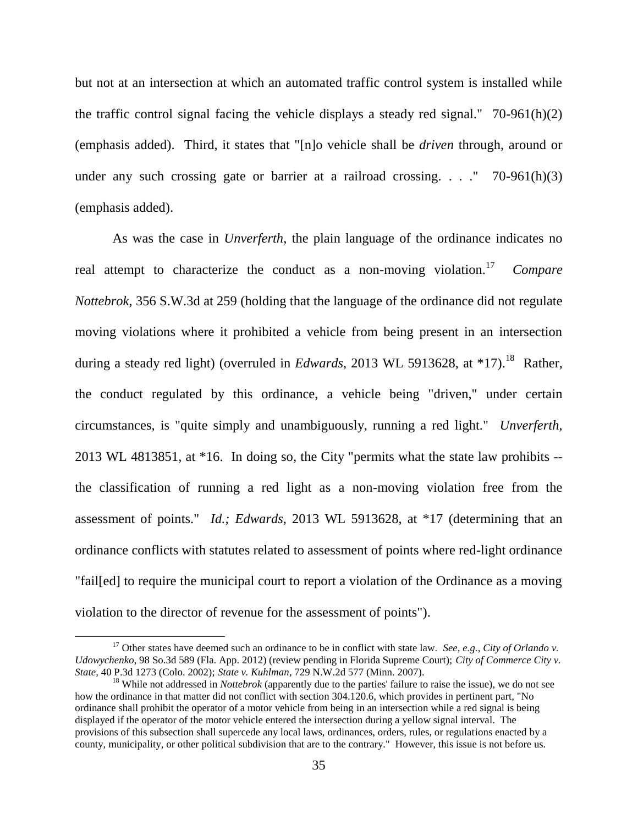but not at an intersection at which an automated traffic control system is installed while the traffic control signal facing the vehicle displays a steady red signal."  $70-961(h)(2)$ (emphasis added). Third, it states that "[n]o vehicle shall be *driven* through, around or under any such crossing gate or barrier at a railroad crossing.  $\ldots$  ." 70-961(h)(3) (emphasis added).

As was the case in *Unverferth*, the plain language of the ordinance indicates no real attempt to characterize the conduct as a non-moving violation.<sup>17</sup> *Compare Nottebrok*, 356 S.W.3d at 259 (holding that the language of the ordinance did not regulate moving violations where it prohibited a vehicle from being present in an intersection during a steady red light) (overruled in *Edwards*, 2013 WL 5913628, at \*17).<sup>18</sup> Rather, the conduct regulated by this ordinance, a vehicle being "driven," under certain circumstances, is "quite simply and unambiguously, running a red light." *Unverferth*, 2013 WL 4813851, at \*16. In doing so, the City "permits what the state law prohibits - the classification of running a red light as a non-moving violation free from the assessment of points." *Id.; Edwards*, 2013 WL 5913628, at \*17 (determining that an ordinance conflicts with statutes related to assessment of points where red-light ordinance "fail[ed] to require the municipal court to report a violation of the Ordinance as a moving violation to the director of revenue for the assessment of points").

<sup>&</sup>lt;sup>17</sup> Other states have deemed such an ordinance to be in conflict with state law. *See, e.g., City of Orlando v. Udowychenko*, 98 So.3d 589 (Fla. App. 2012) (review pending in Florida Supreme Court); *City of Commerce City v. State*, 40 P.3d 1273 (Colo. 2002); *State v. Kuhlman*, 729 N.W.2d 577 (Minn. 2007).

<sup>&</sup>lt;sup>18</sup> While not addressed in *Nottebrok* (apparently due to the parties' failure to raise the issue), we do not see how the ordinance in that matter did not conflict with section 304.120.6, which provides in pertinent part, "No ordinance shall prohibit the operator of a motor vehicle from being in an intersection while a red signal is being displayed if the operator of the motor vehicle entered the intersection during a yellow signal interval. The provisions of this subsection shall supercede any local laws, ordinances, orders, rules, or regulations enacted by a county, municipality, or other political subdivision that are to the contrary." However, this issue is not before us.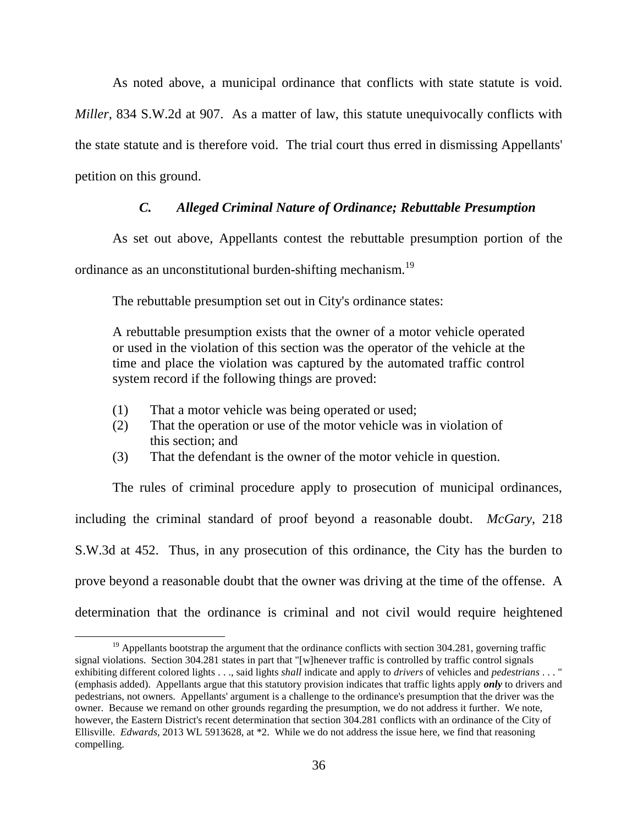As noted above, a municipal ordinance that conflicts with state statute is void. *Miller*, 834 S.W.2d at 907. As a matter of law, this statute unequivocally conflicts with the state statute and is therefore void. The trial court thus erred in dismissing Appellants' petition on this ground.

### *C. Alleged Criminal Nature of Ordinance; Rebuttable Presumption*

As set out above, Appellants contest the rebuttable presumption portion of the

ordinance as an unconstitutional burden-shifting mechanism.<sup>19</sup>

The rebuttable presumption set out in City's ordinance states:

A rebuttable presumption exists that the owner of a motor vehicle operated or used in the violation of this section was the operator of the vehicle at the time and place the violation was captured by the automated traffic control system record if the following things are proved:

(1) That a motor vehicle was being operated or used;

 $\overline{a}$ 

- (2) That the operation or use of the motor vehicle was in violation of this section; and
- (3) That the defendant is the owner of the motor vehicle in question.

The rules of criminal procedure apply to prosecution of municipal ordinances, including the criminal standard of proof beyond a reasonable doubt. *McGary*, 218 S.W.3d at 452. Thus, in any prosecution of this ordinance, the City has the burden to prove beyond a reasonable doubt that the owner was driving at the time of the offense. A determination that the ordinance is criminal and not civil would require heightened

 $19$  Appellants bootstrap the argument that the ordinance conflicts with section 304.281, governing traffic signal violations. Section 304.281 states in part that "[w]henever traffic is controlled by traffic control signals exhibiting different colored lights . . ., said lights *shall* indicate and apply to *drivers* of vehicles and *pedestrians* . . . " (emphasis added). Appellants argue that this statutory provision indicates that traffic lights apply *only* to drivers and pedestrians, not owners. Appellants' argument is a challenge to the ordinance's presumption that the driver was the owner. Because we remand on other grounds regarding the presumption, we do not address it further. We note, however, the Eastern District's recent determination that section 304.281 conflicts with an ordinance of the City of Ellisville. *Edwards*, 2013 WL 5913628, at \*2. While we do not address the issue here, we find that reasoning compelling.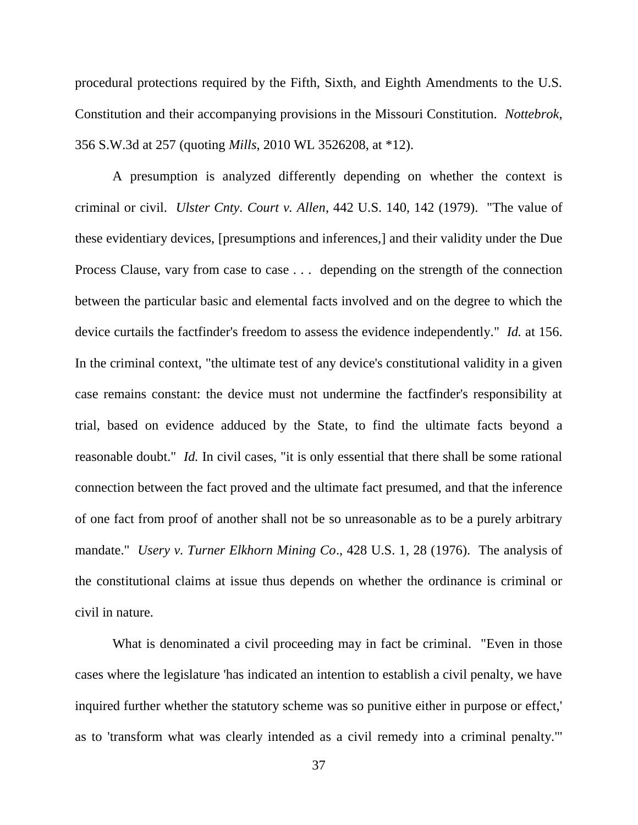procedural protections required by the Fifth, Sixth, and Eighth Amendments to the U.S. Constitution and their accompanying provisions in the Missouri Constitution. *Nottebrok*, 356 S.W.3d at 257 (quoting *Mills*, 2010 WL 3526208, at \*12).

A presumption is analyzed differently depending on whether the context is criminal or civil. *Ulster Cnty. Court v. Allen*, 442 U.S. 140, 142 (1979). "The value of these evidentiary devices, [presumptions and inferences,] and their validity under the Due Process Clause, vary from case to case . . . depending on the strength of the connection between the particular basic and elemental facts involved and on the degree to which the device curtails the factfinder's freedom to assess the evidence independently." *Id.* at 156. In the criminal context, "the ultimate test of any device's constitutional validity in a given case remains constant: the device must not undermine the factfinder's responsibility at trial, based on evidence adduced by the State, to find the ultimate facts beyond a reasonable doubt." *Id.* In civil cases, "it is only essential that there shall be some rational connection between the fact proved and the ultimate fact presumed, and that the inference of one fact from proof of another shall not be so unreasonable as to be a purely arbitrary mandate." *Usery v. Turner Elkhorn Mining Co*., 428 U.S. 1, 28 (1976). The analysis of the constitutional claims at issue thus depends on whether the ordinance is criminal or civil in nature.

What is denominated a civil proceeding may in fact be criminal. "Even in those cases where the legislature 'has indicated an intention to establish a civil penalty, we have inquired further whether the statutory scheme was so punitive either in purpose or effect,' as to 'transform what was clearly intended as a civil remedy into a criminal penalty.'"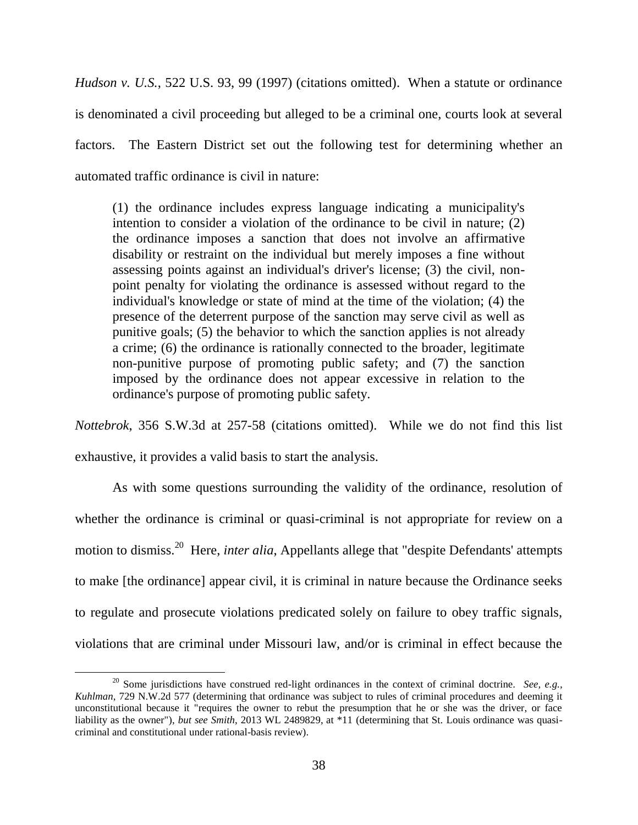*Hudson v. U.S.*, 522 U.S. 93, 99 (1997) (citations omitted). When a statute or ordinance is denominated a civil proceeding but alleged to be a criminal one, courts look at several factors. The Eastern District set out the following test for determining whether an automated traffic ordinance is civil in nature:

(1) the ordinance includes express language indicating a municipality's intention to consider a violation of the ordinance to be civil in nature; (2) the ordinance imposes a sanction that does not involve an affirmative disability or restraint on the individual but merely imposes a fine without assessing points against an individual's driver's license; (3) the civil, nonpoint penalty for violating the ordinance is assessed without regard to the individual's knowledge or state of mind at the time of the violation; (4) the presence of the deterrent purpose of the sanction may serve civil as well as punitive goals; (5) the behavior to which the sanction applies is not already a crime; (6) the ordinance is rationally connected to the broader, legitimate non-punitive purpose of promoting public safety; and (7) the sanction imposed by the ordinance does not appear excessive in relation to the ordinance's purpose of promoting public safety.

*Nottebrok*, 356 S.W.3d at 257-58 (citations omitted). While we do not find this list exhaustive, it provides a valid basis to start the analysis.

As with some questions surrounding the validity of the ordinance, resolution of whether the ordinance is criminal or quasi-criminal is not appropriate for review on a motion to dismiss.<sup>20</sup> Here, *inter alia*, Appellants allege that "despite Defendants' attempts to make [the ordinance] appear civil, it is criminal in nature because the Ordinance seeks to regulate and prosecute violations predicated solely on failure to obey traffic signals, violations that are criminal under Missouri law, and/or is criminal in effect because the

<sup>&</sup>lt;sup>20</sup> Some jurisdictions have construed red-light ordinances in the context of criminal doctrine. *See, e.g.*, *Kuhlman*, 729 N.W.2d 577 (determining that ordinance was subject to rules of criminal procedures and deeming it unconstitutional because it "requires the owner to rebut the presumption that he or she was the driver, or face liability as the owner"), *but see Smith*, 2013 WL 2489829, at \*11 (determining that St. Louis ordinance was quasicriminal and constitutional under rational-basis review).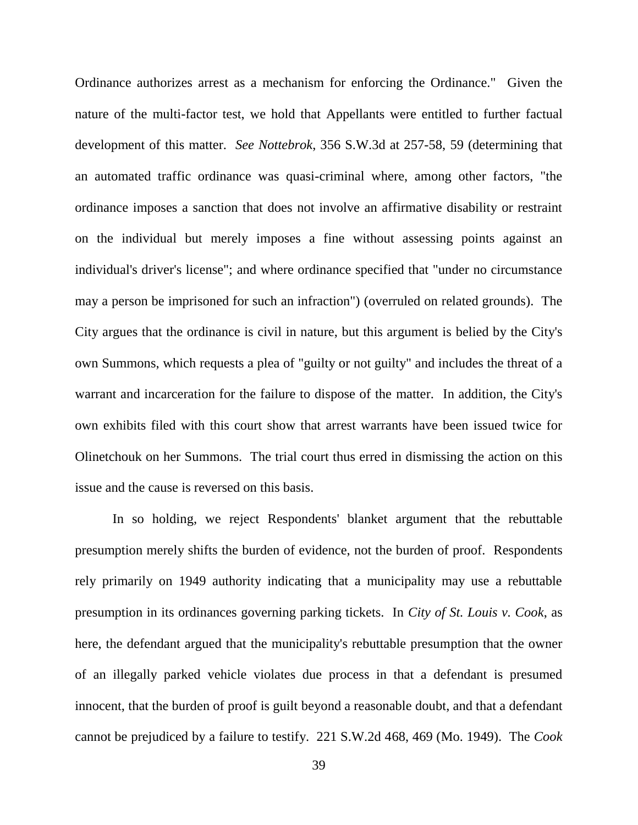Ordinance authorizes arrest as a mechanism for enforcing the Ordinance." Given the nature of the multi-factor test, we hold that Appellants were entitled to further factual development of this matter. *See Nottebrok*, 356 S.W.3d at 257-58, 59 (determining that an automated traffic ordinance was quasi-criminal where, among other factors, "the ordinance imposes a sanction that does not involve an affirmative disability or restraint on the individual but merely imposes a fine without assessing points against an individual's driver's license"; and where ordinance specified that "under no circumstance may a person be imprisoned for such an infraction") (overruled on related grounds). The City argues that the ordinance is civil in nature, but this argument is belied by the City's own Summons, which requests a plea of "guilty or not guilty" and includes the threat of a warrant and incarceration for the failure to dispose of the matter. In addition, the City's own exhibits filed with this court show that arrest warrants have been issued twice for Olinetchouk on her Summons. The trial court thus erred in dismissing the action on this issue and the cause is reversed on this basis.

In so holding, we reject Respondents' blanket argument that the rebuttable presumption merely shifts the burden of evidence, not the burden of proof. Respondents rely primarily on 1949 authority indicating that a municipality may use a rebuttable presumption in its ordinances governing parking tickets. In *City of St. Louis v. Cook*, as here, the defendant argued that the municipality's rebuttable presumption that the owner of an illegally parked vehicle violates due process in that a defendant is presumed innocent, that the burden of proof is guilt beyond a reasonable doubt, and that a defendant cannot be prejudiced by a failure to testify. 221 S.W.2d 468, 469 (Mo. 1949). The *Cook*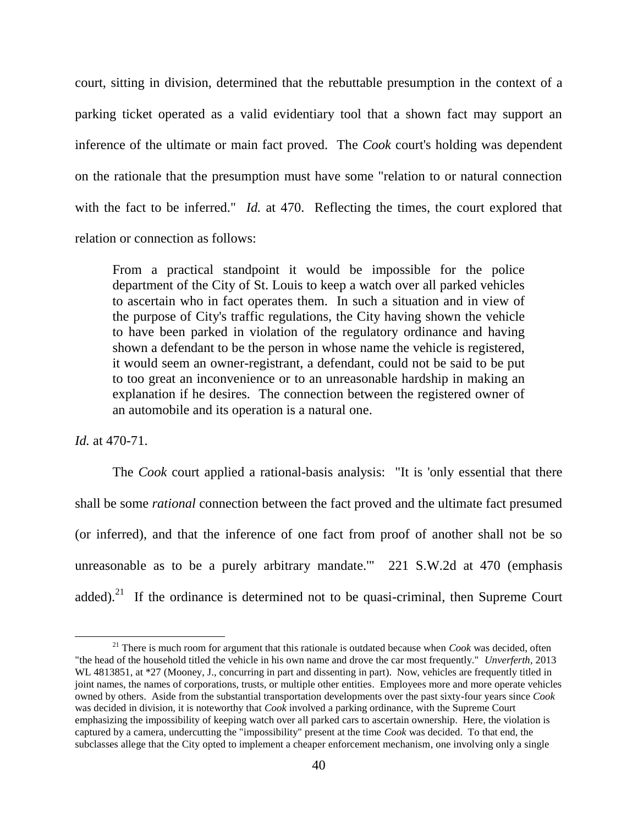court, sitting in division, determined that the rebuttable presumption in the context of a parking ticket operated as a valid evidentiary tool that a shown fact may support an inference of the ultimate or main fact proved. The *Cook* court's holding was dependent on the rationale that the presumption must have some "relation to or natural connection with the fact to be inferred." *Id.* at 470. Reflecting the times, the court explored that relation or connection as follows:

From a practical standpoint it would be impossible for the police department of the City of St. Louis to keep a watch over all parked vehicles to ascertain who in fact operates them. In such a situation and in view of the purpose of City's traffic regulations, the City having shown the vehicle to have been parked in violation of the regulatory ordinance and having shown a defendant to be the person in whose name the vehicle is registered, it would seem an owner-registrant, a defendant, could not be said to be put to too great an inconvenience or to an unreasonable hardship in making an explanation if he desires. The connection between the registered owner of an automobile and its operation is a natural one.

*Id.* at 470-71.

 $\overline{a}$ 

The *Cook* court applied a rational-basis analysis: "It is 'only essential that there shall be some *rational* connection between the fact proved and the ultimate fact presumed (or inferred), and that the inference of one fact from proof of another shall not be so unreasonable as to be a purely arbitrary mandate.'" 221 S.W.2d at 470 (emphasis added).<sup>21</sup> If the ordinance is determined not to be quasi-criminal, then Supreme Court

<sup>21</sup> There is much room for argument that this rationale is outdated because when *Cook* was decided, often "the head of the household titled the vehicle in his own name and drove the car most frequently." *Unverferth*, 2013 WL 4813851, at \*27 (Mooney, J., concurring in part and dissenting in part). Now, vehicles are frequently titled in joint names, the names of corporations, trusts, or multiple other entities. Employees more and more operate vehicles owned by others. Aside from the substantial transportation developments over the past sixty-four years since *Cook* was decided in division, it is noteworthy that *Cook* involved a parking ordinance, with the Supreme Court emphasizing the impossibility of keeping watch over all parked cars to ascertain ownership. Here, the violation is captured by a camera, undercutting the "impossibility" present at the time *Cook* was decided. To that end, the subclasses allege that the City opted to implement a cheaper enforcement mechanism, one involving only a single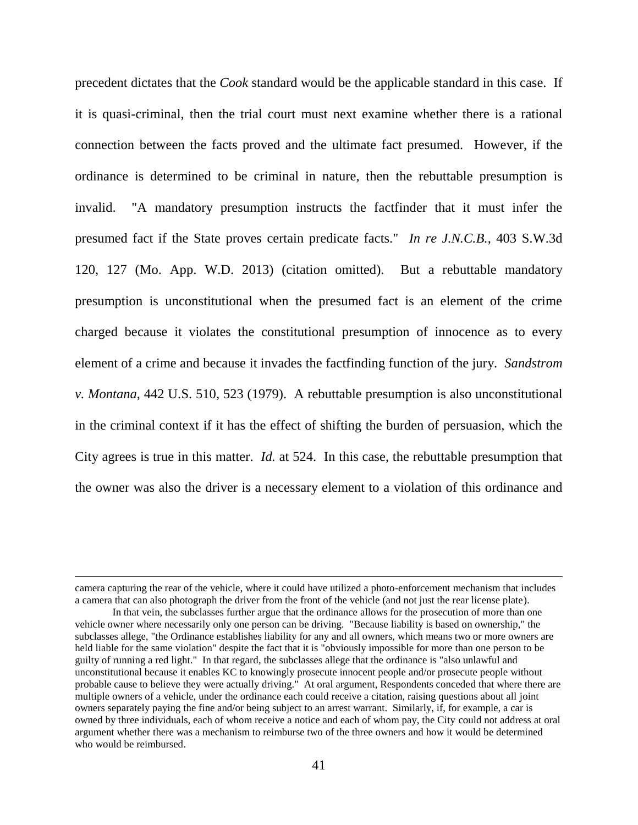precedent dictates that the *Cook* standard would be the applicable standard in this case. If it is quasi-criminal, then the trial court must next examine whether there is a rational connection between the facts proved and the ultimate fact presumed. However, if the ordinance is determined to be criminal in nature, then the rebuttable presumption is invalid. "A mandatory presumption instructs the factfinder that it must infer the presumed fact if the State proves certain predicate facts." *In re J.N.C.B.*, 403 S.W.3d 120, 127 (Mo. App. W.D. 2013) (citation omitted). But a rebuttable mandatory presumption is unconstitutional when the presumed fact is an element of the crime charged because it violates the constitutional presumption of innocence as to every element of a crime and because it invades the factfinding function of the jury. *Sandstrom v. Montana*, 442 U.S. 510, 523 (1979). A rebuttable presumption is also unconstitutional in the criminal context if it has the effect of shifting the burden of persuasion, which the City agrees is true in this matter. *Id.* at 524. In this case, the rebuttable presumption that the owner was also the driver is a necessary element to a violation of this ordinance and

camera capturing the rear of the vehicle, where it could have utilized a photo-enforcement mechanism that includes a camera that can also photograph the driver from the front of the vehicle (and not just the rear license plate).

In that vein, the subclasses further argue that the ordinance allows for the prosecution of more than one vehicle owner where necessarily only one person can be driving. "Because liability is based on ownership," the subclasses allege, "the Ordinance establishes liability for any and all owners, which means two or more owners are held liable for the same violation" despite the fact that it is "obviously impossible for more than one person to be guilty of running a red light." In that regard, the subclasses allege that the ordinance is "also unlawful and unconstitutional because it enables KC to knowingly prosecute innocent people and/or prosecute people without probable cause to believe they were actually driving." At oral argument, Respondents conceded that where there are multiple owners of a vehicle, under the ordinance each could receive a citation, raising questions about all joint owners separately paying the fine and/or being subject to an arrest warrant. Similarly, if, for example, a car is owned by three individuals, each of whom receive a notice and each of whom pay, the City could not address at oral argument whether there was a mechanism to reimburse two of the three owners and how it would be determined who would be reimbursed.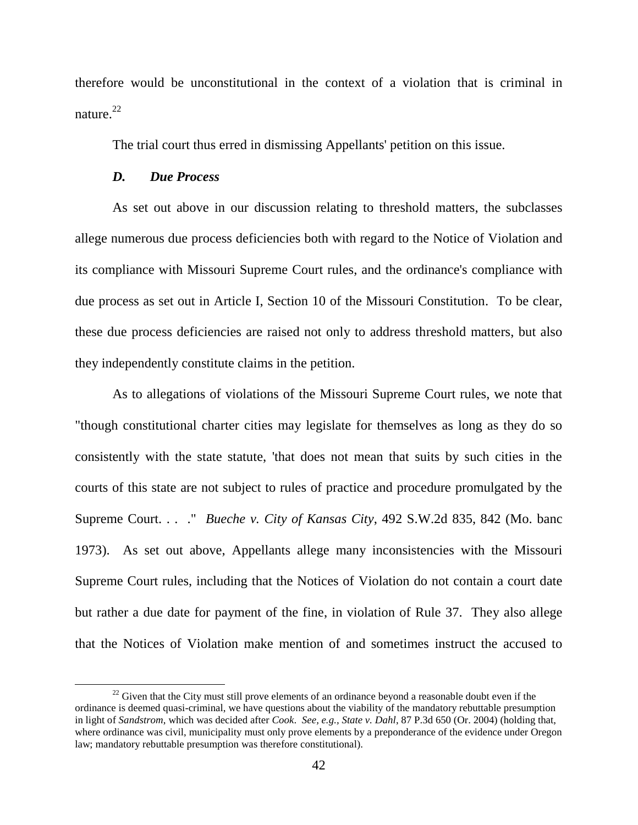therefore would be unconstitutional in the context of a violation that is criminal in nature. 22

The trial court thus erred in dismissing Appellants' petition on this issue.

#### *D. Due Process*

 $\overline{a}$ 

As set out above in our discussion relating to threshold matters, the subclasses allege numerous due process deficiencies both with regard to the Notice of Violation and its compliance with Missouri Supreme Court rules, and the ordinance's compliance with due process as set out in Article I, Section 10 of the Missouri Constitution. To be clear, these due process deficiencies are raised not only to address threshold matters, but also they independently constitute claims in the petition.

As to allegations of violations of the Missouri Supreme Court rules, we note that "though constitutional charter cities may legislate for themselves as long as they do so consistently with the state statute, 'that does not mean that suits by such cities in the courts of this state are not subject to rules of practice and procedure promulgated by the Supreme Court. . . ." *Bueche v. City of Kansas City*, 492 S.W.2d 835, 842 (Mo. banc 1973). As set out above, Appellants allege many inconsistencies with the Missouri Supreme Court rules, including that the Notices of Violation do not contain a court date but rather a due date for payment of the fine, in violation of Rule 37. They also allege that the Notices of Violation make mention of and sometimes instruct the accused to

 $22$  Given that the City must still prove elements of an ordinance beyond a reasonable doubt even if the ordinance is deemed quasi-criminal, we have questions about the viability of the mandatory rebuttable presumption in light of *Sandstrom*, which was decided after *Cook*. *See, e.g., State v. Dahl*, 87 P.3d 650 (Or. 2004) (holding that, where ordinance was civil, municipality must only prove elements by a preponderance of the evidence under Oregon law; mandatory rebuttable presumption was therefore constitutional).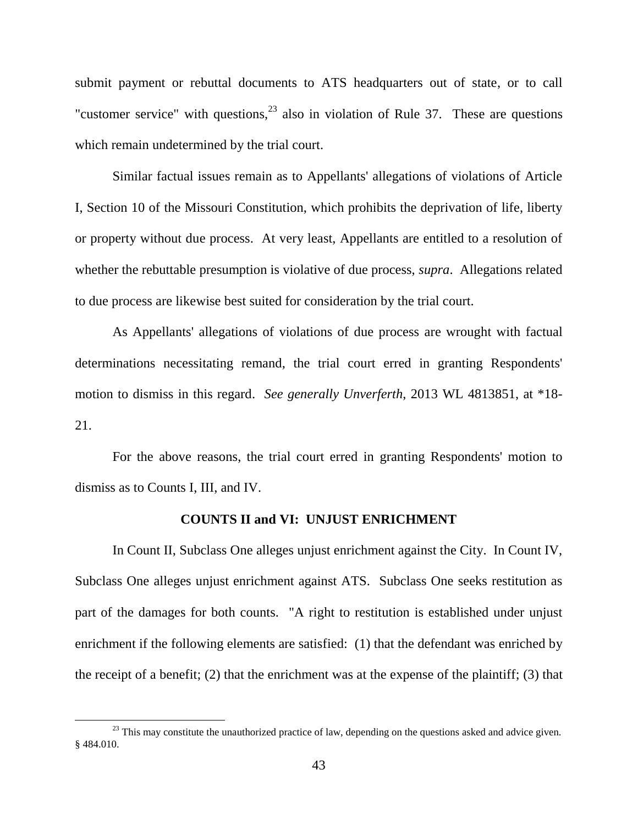submit payment or rebuttal documents to ATS headquarters out of state, or to call "customer service" with questions, $^{23}$  also in violation of Rule 37. These are questions which remain undetermined by the trial court.

Similar factual issues remain as to Appellants' allegations of violations of Article I, Section 10 of the Missouri Constitution, which prohibits the deprivation of life, liberty or property without due process. At very least, Appellants are entitled to a resolution of whether the rebuttable presumption is violative of due process, *supra*. Allegations related to due process are likewise best suited for consideration by the trial court.

As Appellants' allegations of violations of due process are wrought with factual determinations necessitating remand, the trial court erred in granting Respondents' motion to dismiss in this regard. *See generally Unverferth*, 2013 WL 4813851, at \*18- 21.

For the above reasons, the trial court erred in granting Respondents' motion to dismiss as to Counts I, III, and IV.

### **COUNTS II and VI: UNJUST ENRICHMENT**

In Count II, Subclass One alleges unjust enrichment against the City. In Count IV, Subclass One alleges unjust enrichment against ATS. Subclass One seeks restitution as part of the damages for both counts. "A right to restitution is established under unjust enrichment if the following elements are satisfied: (1) that the defendant was enriched by the receipt of a benefit; (2) that the enrichment was at the expense of the plaintiff; (3) that

 $^{23}$  This may constitute the unauthorized practice of law, depending on the questions asked and advice given. § 484.010.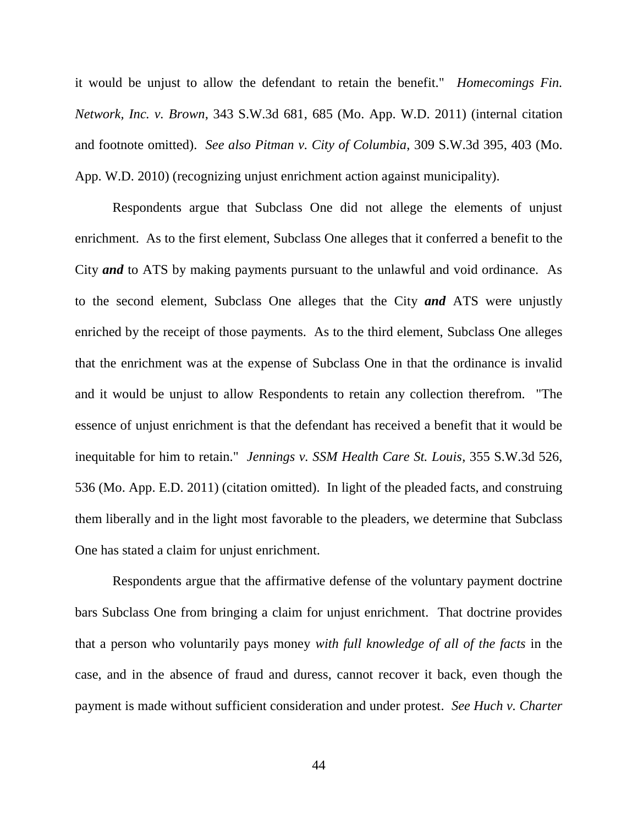it would be unjust to allow the defendant to retain the benefit." *Homecomings Fin. Network, Inc. v. Brown*, 343 S.W.3d 681, 685 (Mo. App. W.D. 2011) (internal citation and footnote omitted). *See also Pitman v. City of Columbia*, 309 S.W.3d 395, 403 (Mo. App. W.D. 2010) (recognizing unjust enrichment action against municipality).

Respondents argue that Subclass One did not allege the elements of unjust enrichment. As to the first element, Subclass One alleges that it conferred a benefit to the City *and* to ATS by making payments pursuant to the unlawful and void ordinance. As to the second element, Subclass One alleges that the City *and* ATS were unjustly enriched by the receipt of those payments. As to the third element, Subclass One alleges that the enrichment was at the expense of Subclass One in that the ordinance is invalid and it would be unjust to allow Respondents to retain any collection therefrom. "The essence of unjust enrichment is that the defendant has received a benefit that it would be inequitable for him to retain." *Jennings v. SSM Health Care St. Louis*, 355 S.W.3d 526, 536 (Mo. App. E.D. 2011) (citation omitted). In light of the pleaded facts, and construing them liberally and in the light most favorable to the pleaders, we determine that Subclass One has stated a claim for unjust enrichment.

Respondents argue that the affirmative defense of the voluntary payment doctrine bars Subclass One from bringing a claim for unjust enrichment. That doctrine provides that a person who voluntarily pays money *with full knowledge of all of the facts* in the case, and in the absence of fraud and duress, cannot recover it back, even though the payment is made without sufficient consideration and under protest. *See Huch v. Charter*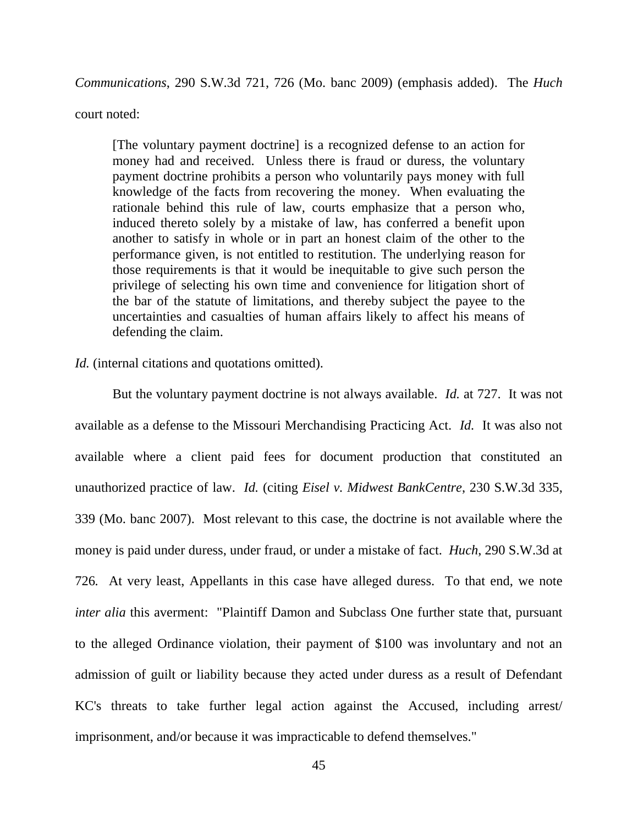*Communications*, 290 S.W.3d 721, 726 (Mo. banc 2009) (emphasis added). The *Huch* 

court noted:

[The voluntary payment doctrine] is a recognized defense to an action for money had and received. Unless there is fraud or duress, the voluntary payment doctrine prohibits a person who voluntarily pays money with full knowledge of the facts from recovering the money. When evaluating the rationale behind this rule of law, courts emphasize that a person who, induced thereto solely by a mistake of law, has conferred a benefit upon another to satisfy in whole or in part an honest claim of the other to the performance given, is not entitled to restitution. The underlying reason for those requirements is that it would be inequitable to give such person the privilege of selecting his own time and convenience for litigation short of the bar of the statute of limitations, and thereby subject the payee to the uncertainties and casualties of human affairs likely to affect his means of defending the claim.

### *Id.* (internal citations and quotations omitted).

But the voluntary payment doctrine is not always available. *Id.* at 727. It was not available as a defense to the Missouri Merchandising Practicing Act. *Id.* It was also not available where a client paid fees for document production that constituted an unauthorized practice of law. *Id.* (citing *Eisel v. Midwest BankCentre*, 230 S.W.3d 335, 339 (Mo. banc 2007). Most relevant to this case, the doctrine is not available where the money is paid under duress, under fraud, or under a mistake of fact. *Huch*, 290 S.W.3d at 726*.* At very least, Appellants in this case have alleged duress. To that end, we note *inter alia* this averment: "Plaintiff Damon and Subclass One further state that, pursuant to the alleged Ordinance violation, their payment of \$100 was involuntary and not an admission of guilt or liability because they acted under duress as a result of Defendant KC's threats to take further legal action against the Accused, including arrest/ imprisonment, and/or because it was impracticable to defend themselves."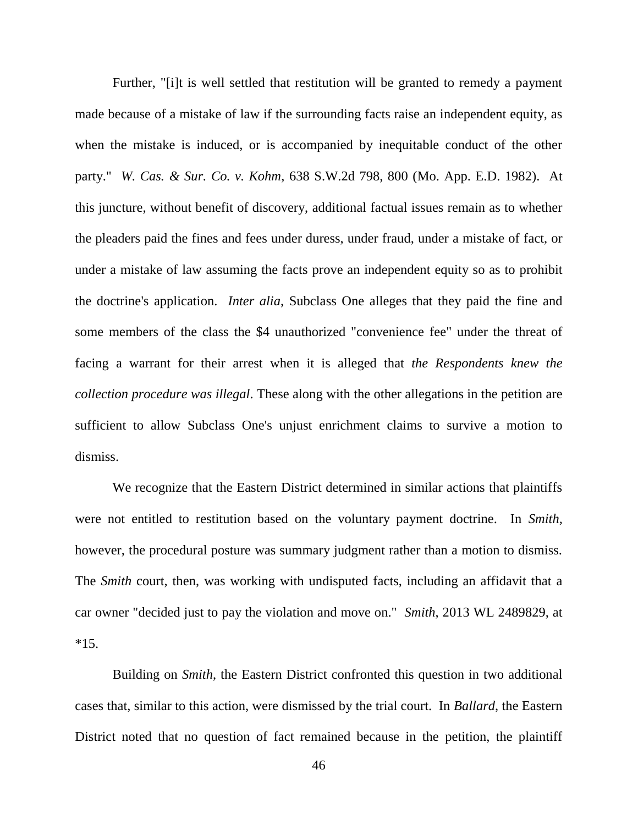Further, "[i]t is well settled that restitution will be granted to remedy a payment made because of a mistake of law if the surrounding facts raise an independent equity, as when the mistake is induced, or is accompanied by inequitable conduct of the other party." *W. Cas. & Sur. Co. v. Kohm*, 638 S.W.2d 798, 800 (Mo. App. E.D. 1982). At this juncture, without benefit of discovery, additional factual issues remain as to whether the pleaders paid the fines and fees under duress, under fraud, under a mistake of fact, or under a mistake of law assuming the facts prove an independent equity so as to prohibit the doctrine's application. *Inter alia*, Subclass One alleges that they paid the fine and some members of the class the \$4 unauthorized "convenience fee" under the threat of facing a warrant for their arrest when it is alleged that *the Respondents knew the collection procedure was illegal*. These along with the other allegations in the petition are sufficient to allow Subclass One's unjust enrichment claims to survive a motion to dismiss.

We recognize that the Eastern District determined in similar actions that plaintiffs were not entitled to restitution based on the voluntary payment doctrine. In *Smith,* however, the procedural posture was summary judgment rather than a motion to dismiss. The *Smith* court, then, was working with undisputed facts, including an affidavit that a car owner "decided just to pay the violation and move on." *Smith*, 2013 WL 2489829, at  $*15.$ 

Building on *Smith*, the Eastern District confronted this question in two additional cases that, similar to this action, were dismissed by the trial court. In *Ballard*, the Eastern District noted that no question of fact remained because in the petition, the plaintiff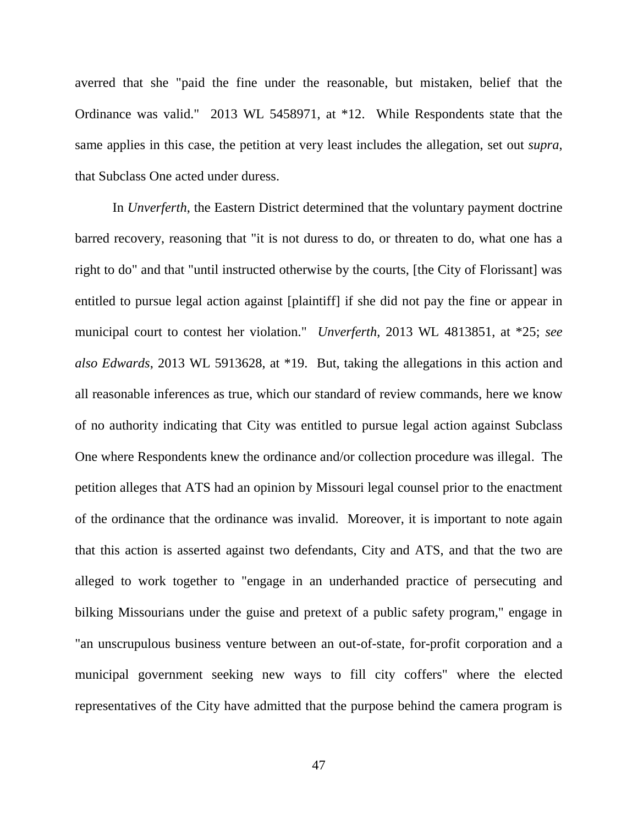averred that she "paid the fine under the reasonable, but mistaken, belief that the Ordinance was valid." 2013 WL 5458971, at \*12. While Respondents state that the same applies in this case, the petition at very least includes the allegation, set out *supra*, that Subclass One acted under duress.

In *Unverferth*, the Eastern District determined that the voluntary payment doctrine barred recovery, reasoning that "it is not duress to do, or threaten to do, what one has a right to do" and that "until instructed otherwise by the courts, [the City of Florissant] was entitled to pursue legal action against [plaintiff] if she did not pay the fine or appear in municipal court to contest her violation." *Unverferth*, 2013 WL 4813851, at \*25; *see also Edwards*, 2013 WL 5913628, at \*19. But, taking the allegations in this action and all reasonable inferences as true, which our standard of review commands, here we know of no authority indicating that City was entitled to pursue legal action against Subclass One where Respondents knew the ordinance and/or collection procedure was illegal. The petition alleges that ATS had an opinion by Missouri legal counsel prior to the enactment of the ordinance that the ordinance was invalid. Moreover, it is important to note again that this action is asserted against two defendants, City and ATS, and that the two are alleged to work together to "engage in an underhanded practice of persecuting and bilking Missourians under the guise and pretext of a public safety program," engage in "an unscrupulous business venture between an out-of-state, for-profit corporation and a municipal government seeking new ways to fill city coffers" where the elected representatives of the City have admitted that the purpose behind the camera program is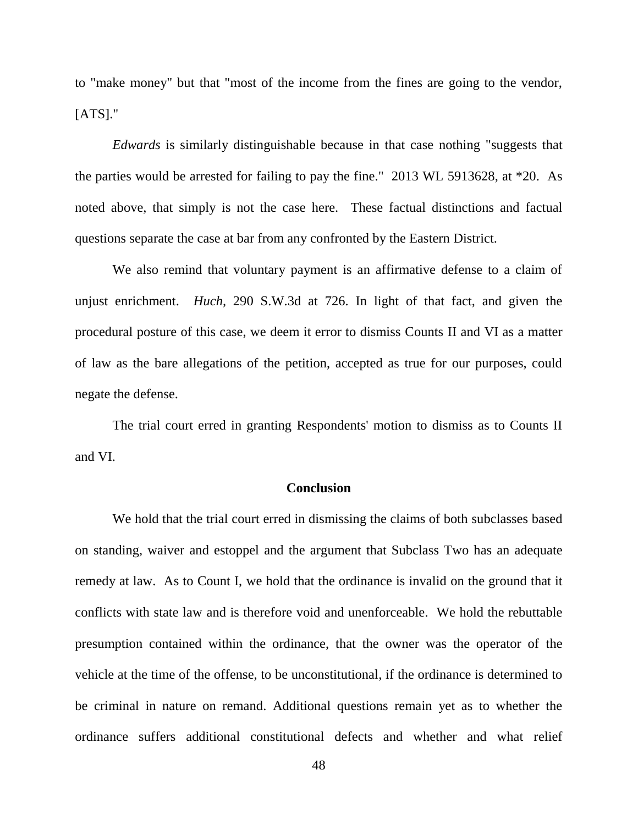to "make money" but that "most of the income from the fines are going to the vendor, [ATS]."

*Edwards* is similarly distinguishable because in that case nothing "suggests that the parties would be arrested for failing to pay the fine." 2013 WL 5913628, at \*20. As noted above, that simply is not the case here. These factual distinctions and factual questions separate the case at bar from any confronted by the Eastern District.

We also remind that voluntary payment is an affirmative defense to a claim of unjust enrichment. *Huch,* 290 S.W.3d at 726. In light of that fact, and given the procedural posture of this case, we deem it error to dismiss Counts II and VI as a matter of law as the bare allegations of the petition, accepted as true for our purposes, could negate the defense.

The trial court erred in granting Respondents' motion to dismiss as to Counts II and VI.

### **Conclusion**

We hold that the trial court erred in dismissing the claims of both subclasses based on standing, waiver and estoppel and the argument that Subclass Two has an adequate remedy at law. As to Count I, we hold that the ordinance is invalid on the ground that it conflicts with state law and is therefore void and unenforceable. We hold the rebuttable presumption contained within the ordinance, that the owner was the operator of the vehicle at the time of the offense, to be unconstitutional, if the ordinance is determined to be criminal in nature on remand. Additional questions remain yet as to whether the ordinance suffers additional constitutional defects and whether and what relief